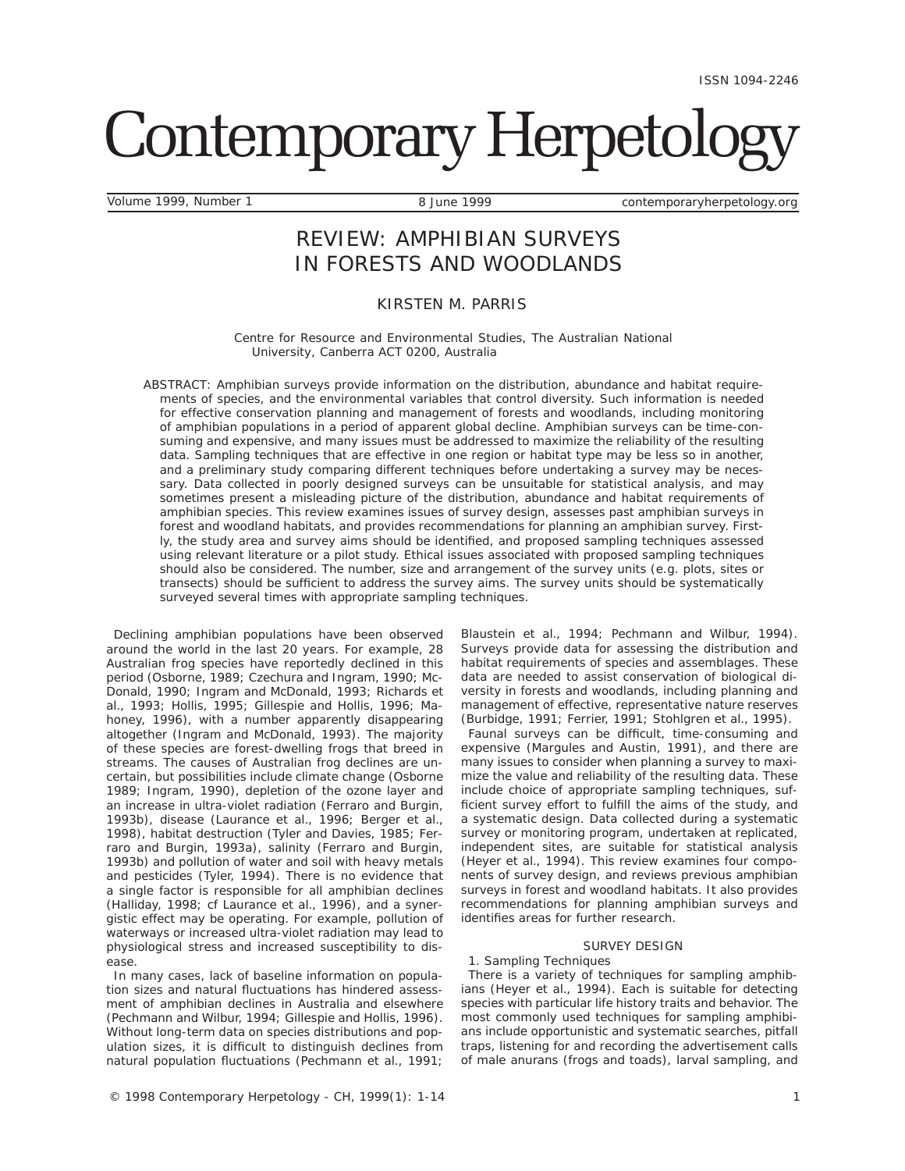# Contemporary Herpetology

Volume 1999, Number 1 8 June 1999 contemporaryherpetology.org

# REVIEW: AMPHIBIAN SURVEYS IN FORESTS AND WOODLANDS

# KIRSTEN M. PARRIS

*Centre for Resource and Environmental Studies, The Australian National University, Canberra ACT 0200, Australia* 

*ABSTRACT:* Amphibian surveys provide information on the distribution, abundance and habitat requirements of species, and the environmental variables that control diversity. Such information is needed for effective conservation planning and management of forests and woodlands, including monitoring of amphibian populations in a period of apparent global decline. Amphibian surveys can be time-consuming and expensive, and many issues must be addressed to maximize the reliability of the resulting data. Sampling techniques that are effective in one region or habitat type may be less so in another, and a preliminary study comparing different techniques before undertaking a survey may be necessary. Data collected in poorly designed surveys can be unsuitable for statistical analysis, and may sometimes present a misleading picture of the distribution, abundance and habitat requirements of amphibian species. This review examines issues of survey design, assesses past amphibian surveys in forest and woodland habitats, and provides recommendations for planning an amphibian survey. Firstly, the study area and survey aims should be identified, and proposed sampling techniques assessed using relevant literature or a pilot study. Ethical issues associated with proposed sampling techniques should also be considered. The number, size and arrangement of the survey units (e.g. plots, sites or transects) should be sufficient to address the survey aims. The survey units should be systematically surveyed several times with appropriate sampling techniques.

Declining amphibian populations have been observed around the world in the last 20 years. For example, 28 Australian frog species have reportedly declined in this period (Osborne, 1989; Czechura and Ingram, 1990; Mc-Donald, 1990; Ingram and McDonald, 1993; Richards et al., 1993; Hollis, 1995; Gillespie and Hollis, 1996; Mahoney, 1996), with a number apparently disappearing altogether (Ingram and McDonald, 1993). The majority of these species are forest-dwelling frogs that breed in streams. The causes of Australian frog declines are uncertain, but possibilities include climate change (Osborne 1989; Ingram, 1990), depletion of the ozone layer and an increase in ultra-violet radiation (Ferraro and Burgin, 1993b), disease (Laurance et al., 1996; Berger et al., 1998), habitat destruction (Tyler and Davies, 1985; Ferraro and Burgin, 1993a), salinity (Ferraro and Burgin, 1993b) and pollution of water and soil with heavy metals and pesticides (Tyler, 1994). There is no evidence that a single factor is responsible for all amphibian declines (Halliday, 1998; cf Laurance et al., 1996), and a synergistic effect may be operating. For example, pollution of waterways or increased ultra-violet radiation may lead to physiological stress and increased susceptibility to disease.

In many cases, lack of baseline information on population sizes and natural fluctuations has hindered assessment of amphibian declines in Australia and elsewhere (Pechmann and Wilbur, 1994; Gillespie and Hollis, 1996). Without long-term data on species distributions and population sizes, it is difficult to distinguish declines from natural population fluctuations (Pechmann et al., 1991;

Blaustein et al., 1994; Pechmann and Wilbur, 1994). Surveys provide data for assessing the distribution and habitat requirements of species and assemblages. These data are needed to assist conservation of biological diversity in forests and woodlands, including planning and management of effective, representative nature reserves (Burbidge, 1991; Ferrier, 1991; Stohlgren et al., 1995).

Faunal surveys can be difficult, time-consuming and expensive (Margules and Austin, 1991), and there are many issues to consider when planning a survey to maximize the value and reliability of the resulting data. These include choice of appropriate sampling techniques, sufficient survey effort to fulfill the aims of the study, and a systematic design. Data collected during a systematic survey or monitoring program, undertaken at replicated, independent sites, are suitable for statistical analysis (Heyer et al., 1994). This review examines four components of survey design, and reviews previous amphibian surveys in forest and woodland habitats. It also provides recommendations for planning amphibian surveys and identifies areas for further research.

# SURVEY DESIGN

# *1. Sampling Techniques*

There is a variety of techniques for sampling amphibians (Heyer et al., 1994). Each is suitable for detecting species with particular life history traits and behavior. The most commonly used techniques for sampling amphibians include opportunistic and systematic searches, pitfall traps, listening for and recording the advertisement calls of male anurans (frogs and toads), larval sampling, and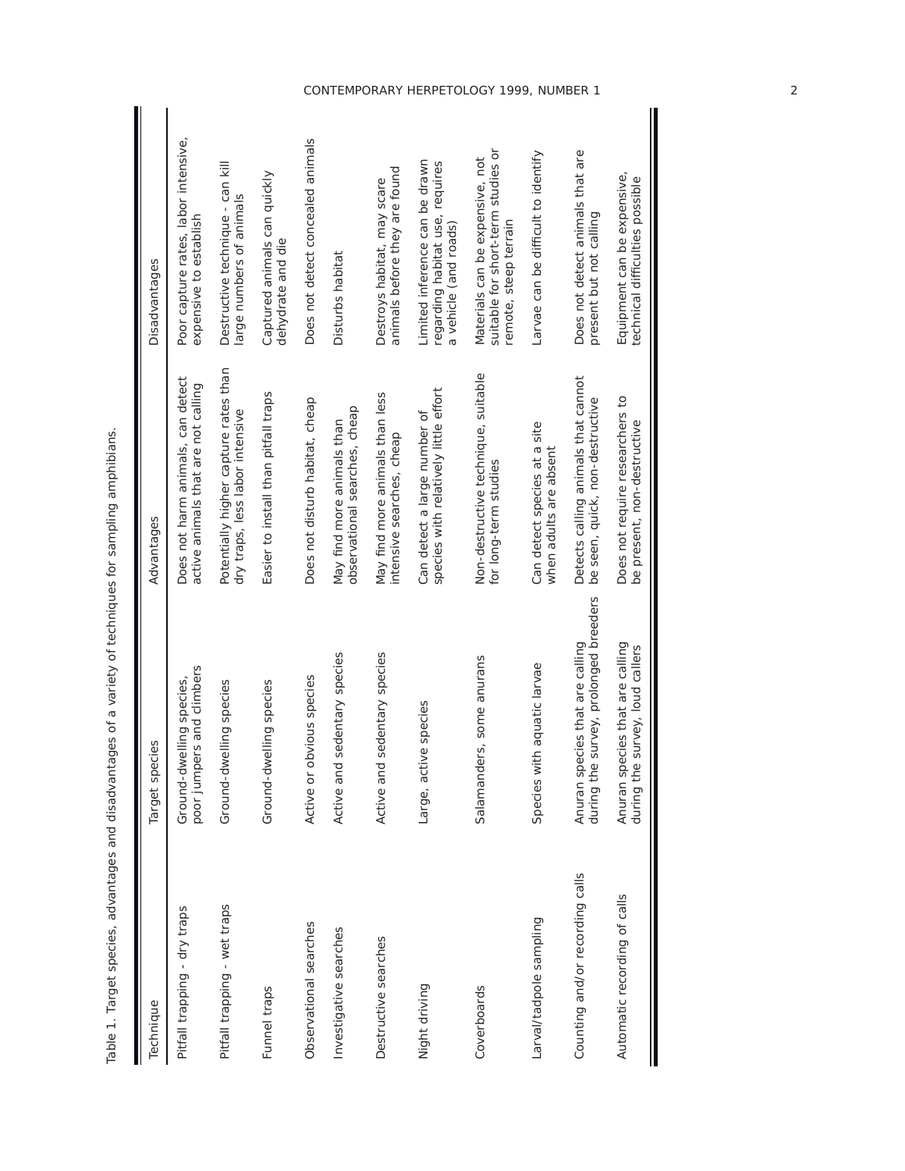| Technique                       | Target species                                                              | Advantages                                                               | Disadvantages                                                                                  |
|---------------------------------|-----------------------------------------------------------------------------|--------------------------------------------------------------------------|------------------------------------------------------------------------------------------------|
| Pitfall trapping - dry traps    | poor jumpers and climbers<br>Ground-dwelling species,                       | Does not harm animals, can detect<br>active animals that are not calling | Poor capture rates, labor intensive,<br>expensive to establish                                 |
| Pitfall trapping - wet traps    | Ground-dwelling species                                                     | Potentially higher capture rates than<br>dry traps, less labor intensive | Destructive technique - can kill<br>large numbers of animals                                   |
| Funnel traps                    | Ground-dwelling species                                                     | Easier to install than pitfall traps                                     | Captured animals can quickly<br>dehydrate and die                                              |
| Observational searches          | Active or obvious species                                                   | Does not disturb habitat, cheap                                          | Does not detect concealed animals                                                              |
| Investigative searches          | Active and sedentary species                                                | observational searches, cheap<br>May find more animals than              | Disturbs habitat                                                                               |
| Destructive searches            | sedentary species<br>Active and                                             | May find more animals than less<br>intensive searches, cheap             | animals before they are found<br>Destroys habitat, may scare                                   |
| Night driving                   | Large, active species                                                       | species with relatively little effort<br>Can detect a large number of    | Limited inference can be drawn<br>regarding habitat use, requires<br>a vehicle (and roads)     |
| Coverboards                     | Salamanders, some anurans                                                   | Non-destructive technique, suitable<br>for long-term studies             | suitable for short-term studies or<br>Materials can be expensive, not<br>remote, steep terrain |
| Larval/tadpole sampling         | Species with aquatic larvae                                                 | Can detect species at a site<br>when adults are absent                   | Larvae can be difficult to identify                                                            |
| Counting and/or recording calls | survey, prolonged breeders<br>Anuran species that are calling<br>during the | Detects calling animals that cannot<br>be seen, quick, non-destructive   | Does not detect animals that are<br>present but not calling                                    |
| Automatic recording of calls    | ecies that are calling<br>during the survey, loud callers<br>Anuran sp      | Does not require researchers to<br>be present, non-destructive           | Equipment can be expensive,<br>technical difficulties possible                                 |

Table 1. Target species, advantages and disadvantages of a variety of techniques for sampling amphibians. Table 1. Target species, advantages and disadvantages of a variety of techniques for sampling amphibians.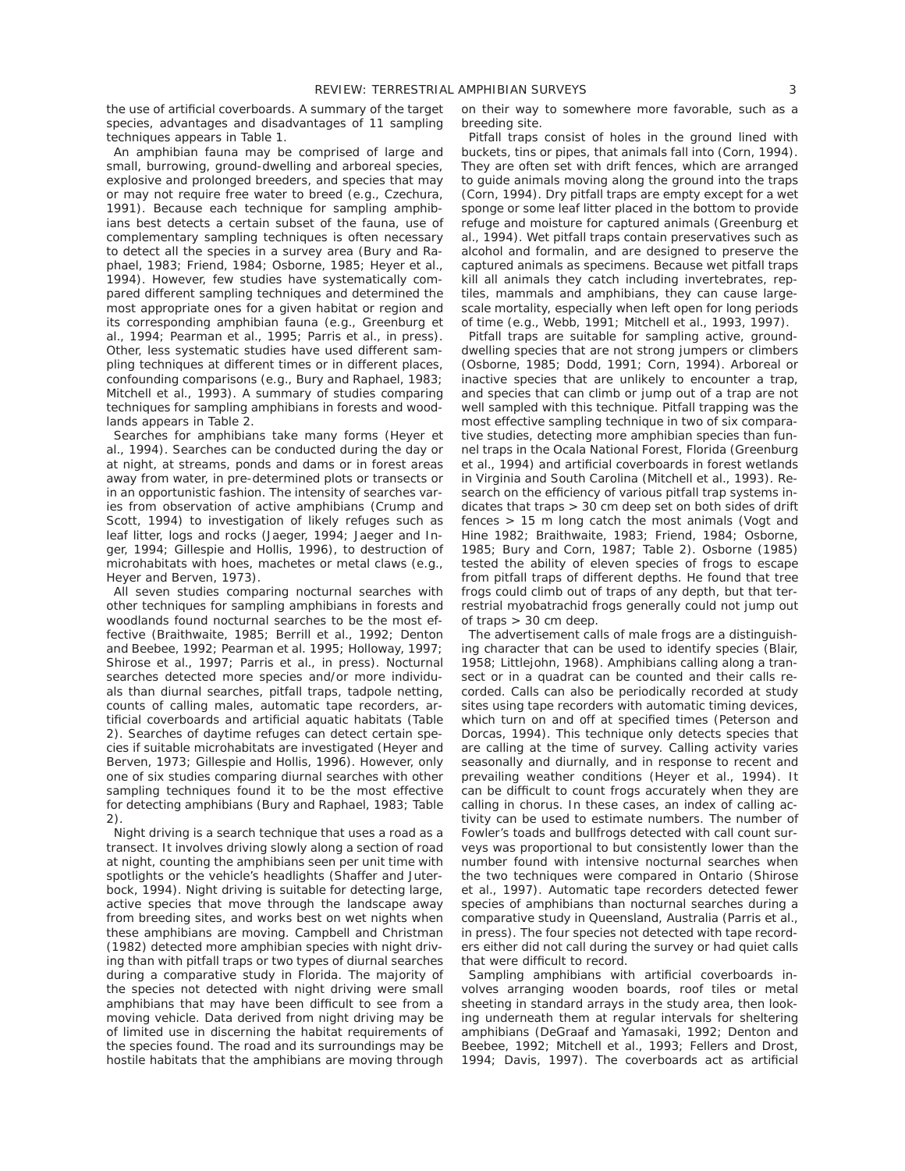the use of artificial coverboards. A summary of the target species, advantages and disadvantages of 11 sampling techniques appears in Table 1.

An amphibian fauna may be comprised of large and small, burrowing, ground-dwelling and arboreal species, explosive and prolonged breeders, and species that may or may not require free water to breed (e.g., Czechura, 1991). Because each technique for sampling amphibians best detects a certain subset of the fauna, use of complementary sampling techniques is often necessary to detect all the species in a survey area (Bury and Raphael, 1983; Friend, 1984; Osborne, 1985; Heyer et al., 1994). However, few studies have systematically compared different sampling techniques and determined the most appropriate ones for a given habitat or region and its corresponding amphibian fauna (e.g., Greenburg et al., 1994; Pearman et al., 1995; Parris et al., in press). Other, less systematic studies have used different sampling techniques at different times or in different places, confounding comparisons (e.g., Bury and Raphael, 1983; Mitchell et al., 1993). A summary of studies comparing techniques for sampling amphibians in forests and woodlands appears in Table 2.

Searches for amphibians take many forms (Heyer et al., 1994). Searches can be conducted during the day or at night, at streams, ponds and dams or in forest areas away from water, in pre-determined plots or transects or in an opportunistic fashion. The intensity of searches varies from observation of active amphibians (Crump and Scott, 1994) to investigation of likely refuges such as leaf litter, logs and rocks (Jaeger, 1994; Jaeger and Inger, 1994; Gillespie and Hollis, 1996), to destruction of microhabitats with hoes, machetes or metal claws (e.g., Heyer and Berven, 1973).

All seven studies comparing nocturnal searches with other techniques for sampling amphibians in forests and woodlands found nocturnal searches to be the most effective (Braithwaite, 1985; Berrill et al., 1992; Denton and Beebee, 1992; Pearman et al. 1995; Holloway, 1997; Shirose et al., 1997; Parris et al., in press). Nocturnal searches detected more species and/or more individuals than diurnal searches, pitfall traps, tadpole netting, counts of calling males, automatic tape recorders, artificial coverboards and artificial aquatic habitats (Table 2). Searches of daytime refuges can detect certain species if suitable microhabitats are investigated (Heyer and Berven, 1973; Gillespie and Hollis, 1996). However, only one of six studies comparing diurnal searches with other sampling techniques found it to be the most effective for detecting amphibians (Bury and Raphael, 1983; Table 2).

Night driving is a search technique that uses a road as a transect. It involves driving slowly along a section of road at night, counting the amphibians seen per unit time with spotlights or the vehicle's headlights (Shaffer and Juterbock, 1994). Night driving is suitable for detecting large, active species that move through the landscape away from breeding sites, and works best on wet nights when these amphibians are moving. Campbell and Christman (1982) detected more amphibian species with night driving than with pitfall traps or two types of diurnal searches during a comparative study in Florida. The majority of the species not detected with night driving were small amphibians that may have been difficult to see from a moving vehicle. Data derived from night driving may be of limited use in discerning the habitat requirements of the species found. The road and its surroundings may be hostile habitats that the amphibians are moving through

on their way to somewhere more favorable, such as a breeding site.

Pitfall traps consist of holes in the ground lined with buckets, tins or pipes, that animals fall into (Corn, 1994). They are often set with drift fences, which are arranged to guide animals moving along the ground into the traps (Corn, 1994). Dry pitfall traps are empty except for a wet sponge or some leaf litter placed in the bottom to provide refuge and moisture for captured animals (Greenburg et al., 1994). Wet pitfall traps contain preservatives such as alcohol and formalin, and are designed to preserve the captured animals as specimens. Because wet pitfall traps kill all animals they catch including invertebrates, reptiles, mammals and amphibians, they can cause largescale mortality, especially when left open for long periods of time (e.g., Webb, 1991; Mitchell et al., 1993, 1997).

Pitfall traps are suitable for sampling active, grounddwelling species that are not strong jumpers or climbers (Osborne, 1985; Dodd, 1991; Corn, 1994). Arboreal or inactive species that are unlikely to encounter a trap, and species that can climb or jump out of a trap are not well sampled with this technique. Pitfall trapping was the most effective sampling technique in two of six comparative studies, detecting more amphibian species than funnel traps in the Ocala National Forest, Florida (Greenburg et al., 1994) and artificial coverboards in forest wetlands in Virginia and South Carolina (Mitchell et al., 1993). Research on the efficiency of various pitfall trap systems indicates that traps > 30 cm deep set on both sides of drift fences > 15 m long catch the most animals (Vogt and Hine 1982; Braithwaite, 1983; Friend, 1984; Osborne, 1985; Bury and Corn, 1987; Table 2). Osborne (1985) tested the ability of eleven species of frogs to escape from pitfall traps of different depths. He found that tree frogs could climb out of traps of any depth, but that terrestrial myobatrachid frogs generally could not jump out of traps > 30 cm deep.

The advertisement calls of male frogs are a distinguishing character that can be used to identify species (Blair, 1958; Littlejohn, 1968). Amphibians calling along a transect or in a quadrat can be counted and their calls recorded. Calls can also be periodically recorded at study sites using tape recorders with automatic timing devices, which turn on and off at specified times (Peterson and Dorcas, 1994). This technique only detects species that are calling at the time of survey. Calling activity varies seasonally and diurnally, and in response to recent and prevailing weather conditions (Heyer et al., 1994). It can be difficult to count frogs accurately when they are calling in chorus. In these cases, an index of calling activity can be used to estimate numbers. The number of Fowler's toads and bullfrogs detected with call count surveys was proportional to but consistently lower than the number found with intensive nocturnal searches when the two techniques were compared in Ontario (Shirose et al., 1997). Automatic tape recorders detected fewer species of amphibians than nocturnal searches during a comparative study in Queensland, Australia (Parris et al., in press). The four species not detected with tape recorders either did not call during the survey or had quiet calls that were difficult to record.

Sampling amphibians with artificial coverboards involves arranging wooden boards, roof tiles or metal sheeting in standard arrays in the study area, then looking underneath them at regular intervals for sheltering amphibians (DeGraaf and Yamasaki, 1992; Denton and Beebee, 1992; Mitchell et al., 1993; Fellers and Drost, 1994; Davis, 1997). The coverboards act as artificial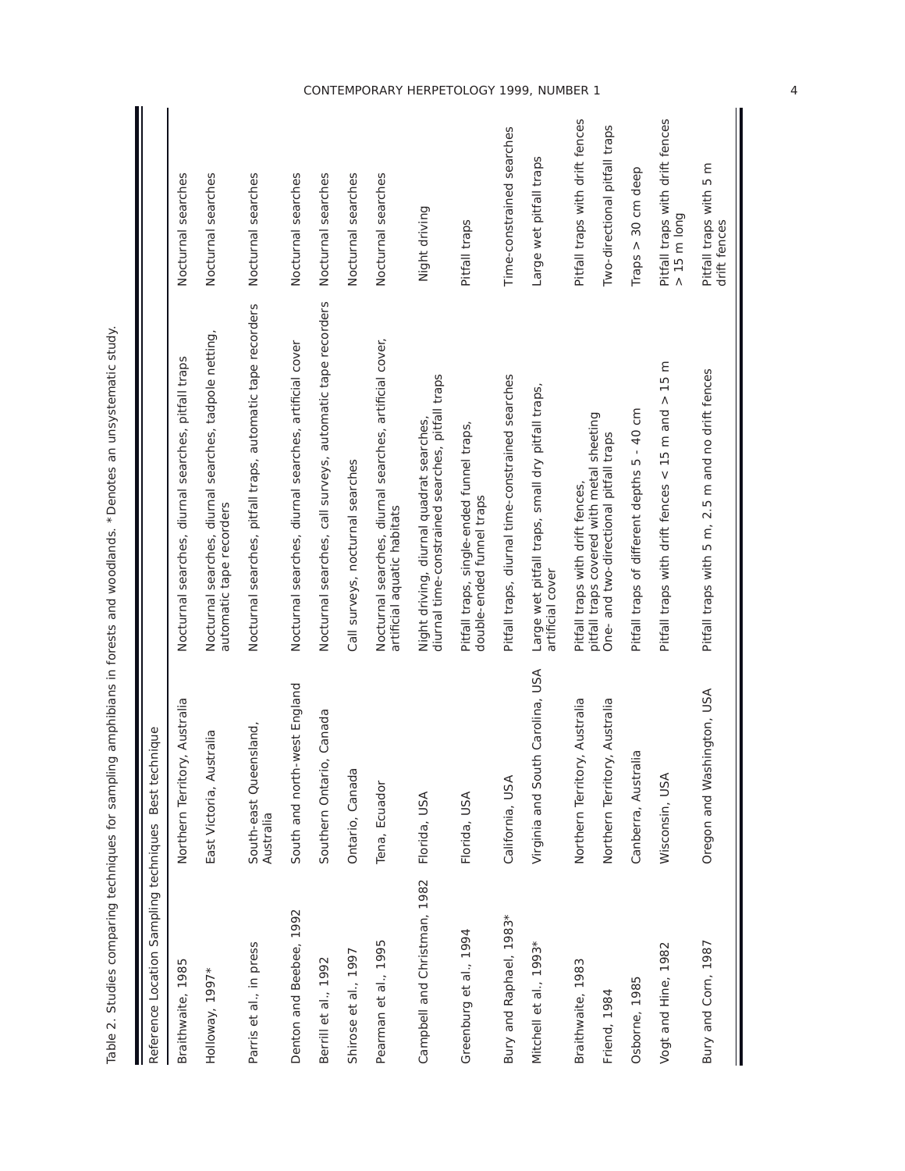| Reference Location Sampling techniques Best technique |                                     |                                                                                              |                                                          |
|-------------------------------------------------------|-------------------------------------|----------------------------------------------------------------------------------------------|----------------------------------------------------------|
| Braithwaite, 1985                                     | Northern Territory, Australia       | Nocturnal searches, diurnal searches, pitfall traps                                          | Nocturnal searches                                       |
| Holloway, 1997*                                       | East Victoria, Australia            | Nocturnal searches, diurnal searches, tadpole netting,<br>automatic tape recorders           | Nocturnal searches                                       |
| Parris et al., in press                               | South-east Queensland,<br>Australia | Nocturnal searches, pitfall traps, automatic tape recorders                                  | Nocturnal searches                                       |
| Denton and Beebee, 1992                               | South and north-west England        | Nocturnal searches, diurnal searches, artificial cover                                       | Nocturnal searches                                       |
| Berrill et al., 1992                                  | Southern Ontario, Canada            | Nocturnal searches, call surveys, automatic tape recorders                                   | Nocturnal searches                                       |
| Shirose et al., 1997                                  | Ontario, Canada                     | Call surveys, nocturnal searches                                                             | Nocturnal searches                                       |
| Pearman et al., 1995                                  | Tena, Ecuador                       | Nocturnal searches, diurnal searches, artificial cover,<br>artificial aquatic habitats       | Nocturnal searches                                       |
| Campbell and Christman, 1982                          | Florida, USA                        | diurnal time-constrained searches, pitfall traps<br>Night driving, diurnal quadrat searches, | Night driving                                            |
| Greenburg et al., 1994                                | Florida, USA                        | Pitfall traps, single-ended funnel traps,<br>double-ended funnel traps                       | Pitfall traps                                            |
| Bury and Raphael, 1983*                               | California, USA                     | Pitfall traps, diurnal time-constrained searches                                             | Time-constrained searches                                |
| Mitchell et al., 1993*                                | Virginia and South Carolina, USA    | Large wet pitfall traps, small dry pitfall traps,<br>artificial cover                        | Large wet pitfall traps                                  |
| Braithwaite, 1983                                     | Northern Territory, Australia       | Pitfall traps with drift fences,                                                             | Pitfall traps with drift fences                          |
| Friend, 1984                                          | Northern Territory, Australia       | pitfall traps covered with metal sheeting<br>One-and two-directional pitfall traps           | Two-directional pitfall traps                            |
| Osborne, 1985                                         | Canberra, Australia                 | Pitfall traps of different depths 5 - 40 cm                                                  | 30 cm deep<br>Traps $>$                                  |
| Vogt and Hine, 1982                                   | Wisconsin, USA                      | Pitfall traps with drift fences $<$ 15 m and $>$ 15 m                                        | Pitfall traps with drift fences<br>$> 15 \text{ m}$ long |
| Bury and Corn, 1987                                   | Oregon and Washington, USA          | Pitfall traps with 5 m, 2.5 m and no drift fences                                            | Pitfall traps with 5 m<br>drift fences                   |

Table 2. Studies comparing techniques for sampling amphibians in forests and woodlands. \* Denotes an unsystematic study. Table 2. Studies comparing techniques for sampling amphibians in forests and woodlands. \*Denotes an unsystematic study.

4

 $\mathsf{I}$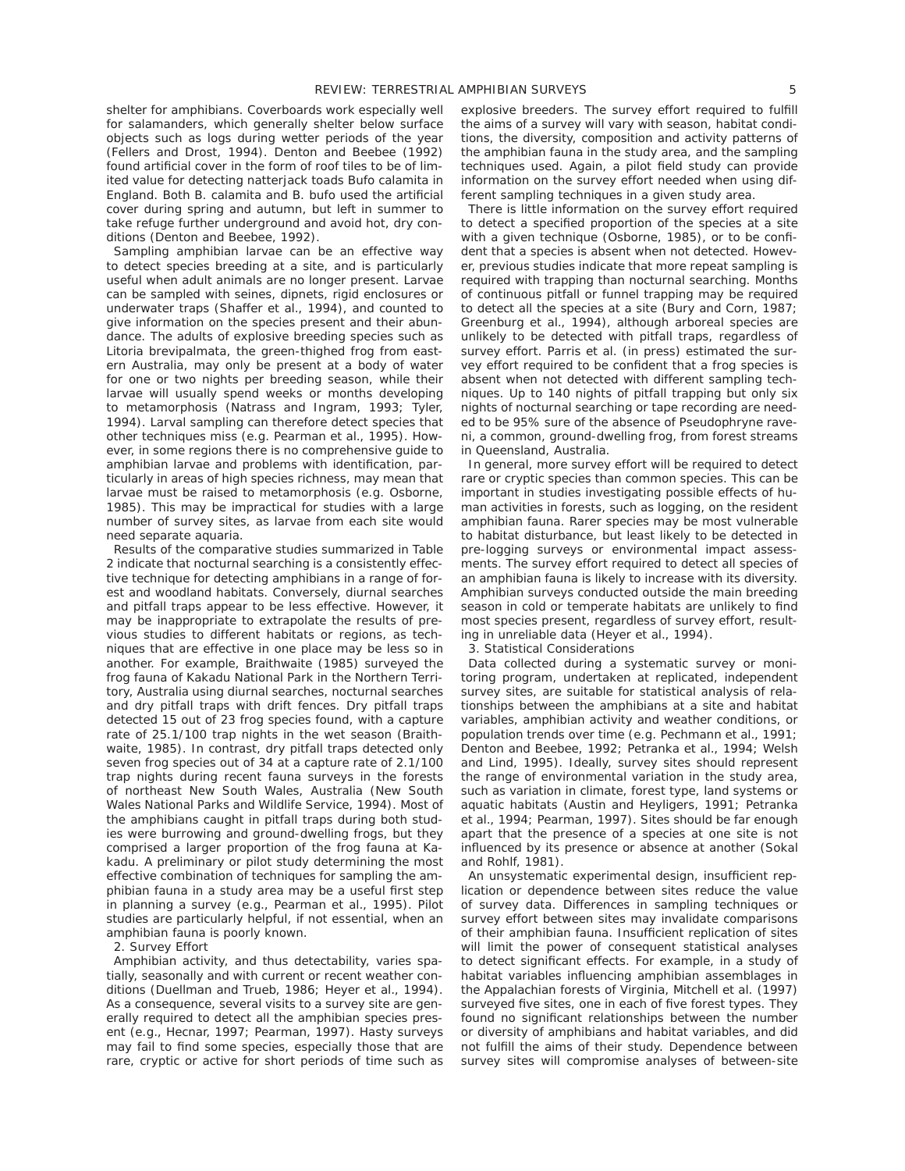shelter for amphibians. Coverboards work especially well for salamanders, which generally shelter below surface objects such as logs during wetter periods of the year (Fellers and Drost, 1994). Denton and Beebee (1992) found artificial cover in the form of roof tiles to be of limited value for detecting natterjack toads Bufo calamita in England. Both B. calamita and B. bufo used the artificial cover during spring and autumn, but left in summer to take refuge further underground and avoid hot, dry conditions (Denton and Beebee, 1992).

Sampling amphibian larvae can be an effective way to detect species breeding at a site, and is particularly useful when adult animals are no longer present. Larvae can be sampled with seines, dipnets, rigid enclosures or underwater traps (Shaffer et al., 1994), and counted to give information on the species present and their abundance. The adults of explosive breeding species such as Litoria brevipalmata, the green-thighed frog from eastern Australia, may only be present at a body of water for one or two nights per breeding season, while their larvae will usually spend weeks or months developing to metamorphosis (Natrass and Ingram, 1993; Tyler, 1994). Larval sampling can therefore detect species that other techniques miss (e.g. Pearman et al., 1995). However, in some regions there is no comprehensive guide to amphibian larvae and problems with identification, particularly in areas of high species richness, may mean that larvae must be raised to metamorphosis (e.g. Osborne, 1985). This may be impractical for studies with a large number of survey sites, as larvae from each site would need separate aquaria.

Results of the comparative studies summarized in Table 2 indicate that nocturnal searching is a consistently effective technique for detecting amphibians in a range of forest and woodland habitats. Conversely, diurnal searches and pitfall traps appear to be less effective. However, it may be inappropriate to extrapolate the results of previous studies to different habitats or regions, as techniques that are effective in one place may be less so in another. For example, Braithwaite (1985) surveyed the frog fauna of Kakadu National Park in the Northern Territory, Australia using diurnal searches, nocturnal searches and dry pitfall traps with drift fences. Dry pitfall traps detected 15 out of 23 frog species found, with a capture rate of 25.1/100 trap nights in the wet season (Braithwaite, 1985). In contrast, dry pitfall traps detected only seven frog species out of 34 at a capture rate of 2.1/100 trap nights during recent fauna surveys in the forests of northeast New South Wales, Australia (New South Wales National Parks and Wildlife Service, 1994). Most of the amphibians caught in pitfall traps during both studies were burrowing and ground-dwelling frogs, but they comprised a larger proportion of the frog fauna at Kakadu. A preliminary or pilot study determining the most effective combination of techniques for sampling the amphibian fauna in a study area may be a useful first step in planning a survey (e.g., Pearman et al., 1995). Pilot studies are particularly helpful, if not essential, when an amphibian fauna is poorly known.

### *2. Survey Effort*

Amphibian activity, and thus detectability, varies spatially, seasonally and with current or recent weather conditions (Duellman and Trueb, 1986; Heyer et al., 1994). As a consequence, several visits to a survey site are generally required to detect all the amphibian species present (e.g., Hecnar, 1997; Pearman, 1997). Hasty surveys may fail to find some species, especially those that are rare, cryptic or active for short periods of time such as

explosive breeders. The survey effort required to fulfill the aims of a survey will vary with season, habitat conditions, the diversity, composition and activity patterns of the amphibian fauna in the study area, and the sampling techniques used. Again, a pilot field study can provide information on the survey effort needed when using different sampling techniques in a given study area.

There is little information on the survey effort required to detect a specified proportion of the species at a site with a given technique (Osborne, 1985), or to be confident that a species is absent when not detected. However, previous studies indicate that more repeat sampling is required with trapping than nocturnal searching. Months of continuous pitfall or funnel trapping may be required to detect all the species at a site (Bury and Corn, 1987; Greenburg et al., 1994), although arboreal species are unlikely to be detected with pitfall traps, regardless of survey effort. Parris et al. (in press) estimated the survey effort required to be confident that a frog species is absent when not detected with different sampling techniques. Up to 140 nights of pitfall trapping but only six nights of nocturnal searching or tape recording are needed to be 95% sure of the absence of Pseudophryne raveni, a common, ground-dwelling frog, from forest streams in Queensland, Australia.

In general, more survey effort will be required to detect rare or cryptic species than common species. This can be important in studies investigating possible effects of human activities in forests, such as logging, on the resident amphibian fauna. Rarer species may be most vulnerable to habitat disturbance, but least likely to be detected in pre-logging surveys or environmental impact assessments. The survey effort required to detect all species of an amphibian fauna is likely to increase with its diversity. Amphibian surveys conducted outside the main breeding season in cold or temperate habitats are unlikely to find most species present, regardless of survey effort, resulting in unreliable data (Heyer et al., 1994).

*3. Statistical Considerations* 

Data collected during a systematic survey or monitoring program, undertaken at replicated, independent survey sites, are suitable for statistical analysis of relationships between the amphibians at a site and habitat variables, amphibian activity and weather conditions, or population trends over time (e.g. Pechmann et al., 1991; Denton and Beebee, 1992; Petranka et al., 1994; Welsh and Lind, 1995). Ideally, survey sites should represent the range of environmental variation in the study area, such as variation in climate, forest type, land systems or aquatic habitats (Austin and Heyligers, 1991; Petranka et al., 1994; Pearman, 1997). Sites should be far enough apart that the presence of a species at one site is not influenced by its presence or absence at another (Sokal and Rohlf, 1981).

An unsystematic experimental design, insufficient replication or dependence between sites reduce the value of survey data. Differences in sampling techniques or survey effort between sites may invalidate comparisons of their amphibian fauna. Insufficient replication of sites will limit the power of consequent statistical analyses to detect significant effects. For example, in a study of habitat variables influencing amphibian assemblages in the Appalachian forests of Virginia, Mitchell et al. (1997) surveyed five sites, one in each of five forest types. They found no significant relationships between the number or diversity of amphibians and habitat variables, and did not fulfill the aims of their study. Dependence between survey sites will compromise analyses of between-site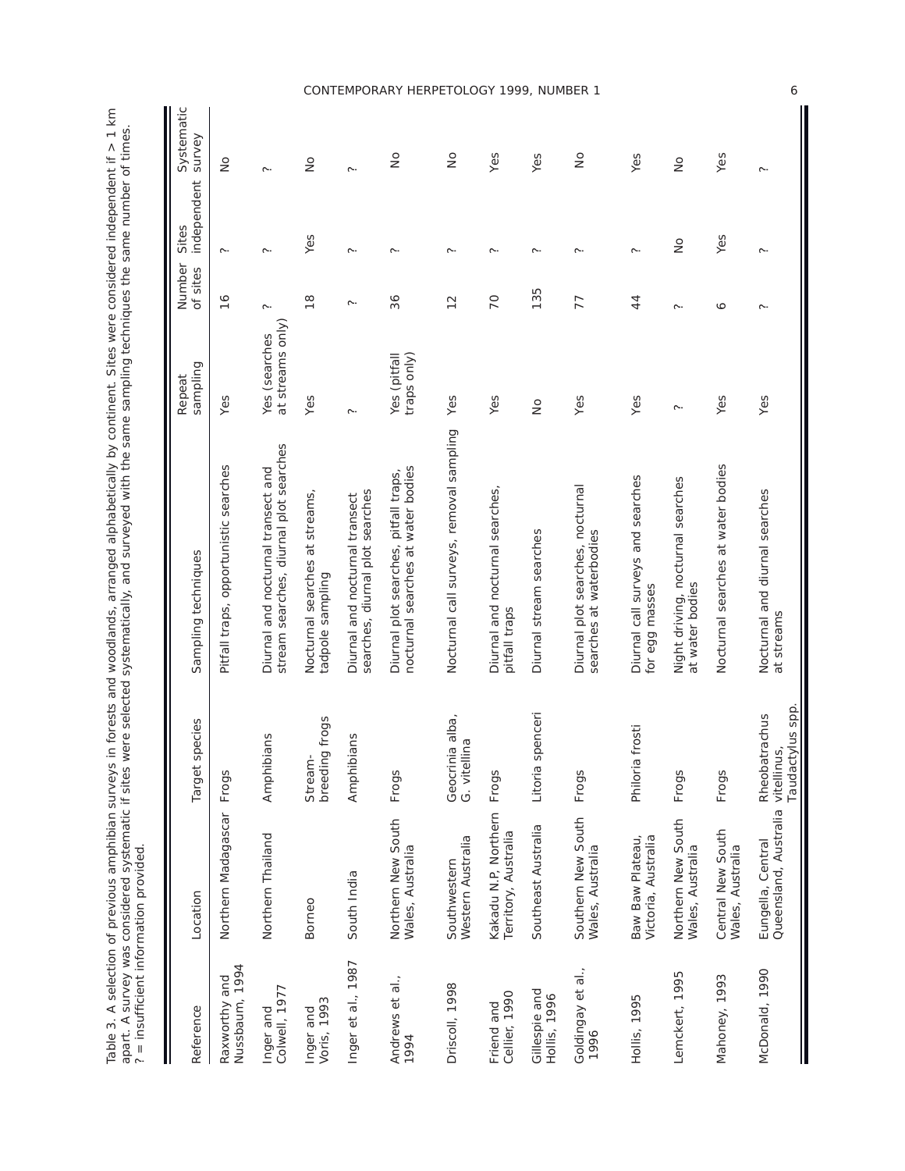| $\frac{1}{2}$<br>i<br>ī                                                      | $\overline{ }$<br>$+$ times                                                                                                                                                                                                                   |              |
|------------------------------------------------------------------------------|-----------------------------------------------------------------------------------------------------------------------------------------------------------------------------------------------------------------------------------------------|--------------|
| ረ<br>ያ<br>5<br><b>Singled</b><br>ì                                           | <br>גרוני<br>l                                                                                                                                                                                                                                |              |
| n 22 n 22 n<br>.<br>.<br>.<br>.                                              |                                                                                                                                                                                                                                               |              |
| inglished na shektinget<br>$\ddot{\phantom{0}}$<br>j<br>$\ddot{\phantom{a}}$ | .<br>.<br>.<br>.                                                                                                                                                                                                                              |              |
| 5<br>j                                                                       | to kook on the computation in the second of the second of the second of the second second second second second second of the second of the second second second second second second second second second second second second<br>3<br>ļ<br>J |              |
| ים המלוני הדיים המלוני המלוני הדיים המלוני המלוני ה<br>$\frac{1}{2}$         |                                                                                                                                                                                                                                               |              |
| $\frac{1}{2}$                                                                | 55<br>;<br>;<br>;                                                                                                                                                                                                                             |              |
| able 2 A colorina at province amparante cinq<br>J                            |                                                                                                                                                                                                                                               | j            |
|                                                                              | こうりょう うちこう てんきんてこうきんり りりここ こうこうこう<br>ジララミ<br>)<br>J                                                                                                                                                                                           |              |
| $\frac{2}{3}$                                                                | --<br>222<br>-<br>3<br>2                                                                                                                                                                                                                      | $\mathsf{I}$ |

| ? = insufficient information provided. |                                                        |                                  |                                                                              |                                   |                    |                      |                      |
|----------------------------------------|--------------------------------------------------------|----------------------------------|------------------------------------------------------------------------------|-----------------------------------|--------------------|----------------------|----------------------|
| Reference                              | Location                                               | species<br>Target                | Sampling techniques                                                          | sampling<br>Repeat                | Number<br>of sites | independent<br>Sites | Systematic<br>survey |
| Nussbaum, 1994<br>Raxworthy and        | Northern Madagascar                                    | Frogs                            | Pitfall traps, opportunistic searches                                        | Yes                               | $\frac{6}{5}$      | $\sim$               | $\frac{1}{2}$        |
| Colwell, 1977<br>Inger and             | Northern Thailand                                      | Amphibians                       | stream searches, diurnal plot searches<br>Diurnal and nocturnal transect and | at streams only)<br>Yes (searches | $\sim$             | $\sim$               | ς.                   |
| Voris, 1993<br>Inger and               | Borneo                                                 | breeding frogs<br>Stream-        | Nocturnal searches at streams,<br>tadpole sampling                           | Yes                               | $\frac{8}{1}$      | Yes                  | $\frac{1}{2}$        |
| Inger et al., 1987                     | South India                                            | Amphibians                       | searches, diurnal plot searches<br>Diurnal and nocturnal transect            | ς.                                | Ċ                  | ς.                   | ς.                   |
| Andrews et al.,<br>1994                | Northern New South<br>Wales, Australia                 | Frogs                            | nocturnal searches at water bodies<br>Diurnal plot searches, pitfall traps,  | traps only)<br>Yes (pitfall       | 36                 | ς.                   | $\frac{1}{2}$        |
| Driscoll, 1998                         | Western Australia<br>Southwestern                      | Geocrinia alba,<br>G. vitellina  | Nocturnal call surveys, removal sampling                                     | Yes                               | $\frac{2}{3}$      | $\sim$               | $\frac{1}{2}$        |
| Cellier, 1990<br>Friend and            | Kakadu N.P, Northern<br>Territory, Australia           | Frogs                            | Diurnal and nocturnal searches,<br>pitfall traps                             | Yes                               | 70                 | $\sim$               | Yes                  |
| Gillespie and<br>Hollis, 1996          | Southeast Australia                                    | spenceri<br>Litoria              | Diurnal stream searches                                                      | $\frac{1}{2}$                     | 135                | $\sim$               | Yes                  |
| Goldingay et al.,<br>1996              | Southern New South<br>Wales, Australia                 | Frogs                            | Diurnal plot searches, nocturnal<br>searches at waterbodies                  | Yes                               | 77                 | ς.                   | $\frac{1}{2}$        |
| Hollis, 1995                           | Baw Baw Plateau,<br>Victoria, Australia                | a frosti<br>Philori              | Diurnal call surveys and searches<br>for egg masses                          | Yes                               | 44                 | ς.                   | Yes                  |
| Lemckert, 1995                         | Northern New South<br>Wales, Australia                 | Frogs                            | Night driving, nocturnal searches<br>at water bodies                         | ς.                                | ς.                 | $\frac{1}{2}$        | $\frac{1}{2}$        |
| Mahoney, 1993                          | Central New South<br>Wales, Australia                  | Frogs                            | Nocturnal searches at water bodies                                           | Yes                               | $\circ$            | Yes                  | Yes                  |
| McDonald, 1990                         | Queensland, Australia vitellinus,<br>Eungella, Central | Taudactylus spp<br>Rheobatrachus | Nocturnal and diurnal searches<br>at streams                                 | Yes                               | $\sim$             | ς.                   | $\sim$               |

# *CONTEMPORARY HERPETOLOGY 1999, NUMBER 1*

6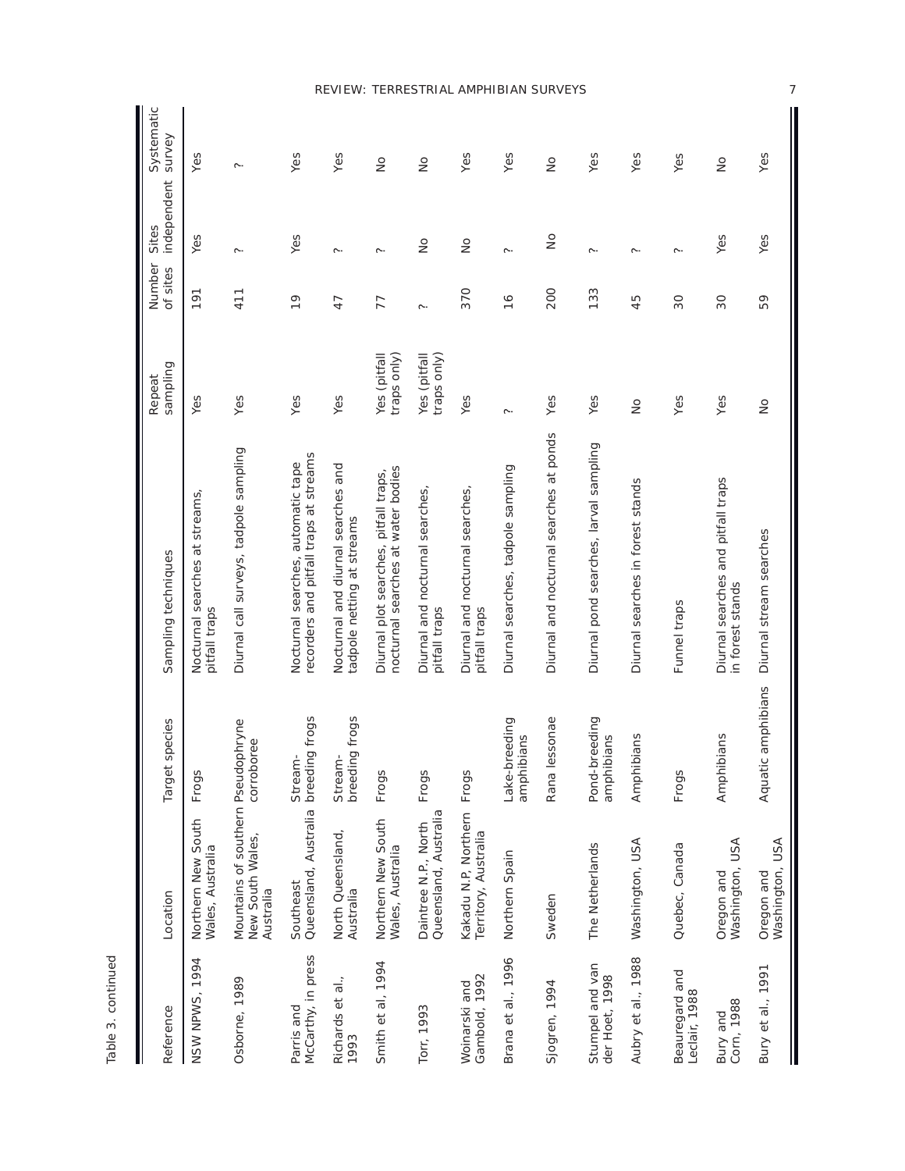| í. |  |
|----|--|
| C  |  |
| c  |  |

| Reference                         | Location                                                            | species<br>Target                | Sampling techniques                                                          | sampling<br>Repeat          | Number<br>of sites | independent<br>Sites | Systematic<br>survey |
|-----------------------------------|---------------------------------------------------------------------|----------------------------------|------------------------------------------------------------------------------|-----------------------------|--------------------|----------------------|----------------------|
| NSW NPWS, 1994                    | Northern New South<br>Wales, Australia                              | Frogs                            | Nocturnal searches at streams,<br>pitfall traps                              | Yes                         | 191                | Yes                  | Yes                  |
| Osborne, 1989                     | Mountains of southern Pseudophryne<br>New South Wales,<br>Australia | corroboree                       | Diurnal call surveys, tadpole sampling                                       | Yes                         | 411                | ς.                   | ς.                   |
| McCarthy, in press<br>Parris and  | Queensland, Australia<br>Southeast                                  | breeding frogs<br>Stream-        | recorders and pitfall traps at streams<br>Nocturnal searches, automatic tape | Yes                         | $\frac{1}{2}$      | Yes                  | Yes                  |
| Richards et al.,<br>1993          | North Queensland,<br>Australia                                      | breeding frogs<br>Stream-        | Nocturnal and diurnal searches and<br>tadpole netting at streams             | Yes                         | 47                 | ς.                   | Yes                  |
| Smith et al, 1994                 | Northern New South<br>Wales, Australia                              | Frogs                            | nocturnal searches at water bodies<br>Diurnal plot searches, pitfall traps,  | Yes (pitfall<br>traps only) | 77                 | ς.                   | $\frac{1}{2}$        |
| Torr, 1993                        | Queensland, Australia<br>Daintree N.P., North                       | Frogs                            | Diurnal and nocturnal searches,<br>pitfall traps                             | traps only)<br>Yes (pitfall | ς.                 | $\frac{1}{2}$        | $\frac{1}{2}$        |
| Gambold, 1992<br>Woinarski and    | Kakadu N.P, Northern<br>Territory, Australia                        | Frogs                            | Diurnal and nocturnal searches,<br>pitfall traps                             | Yes                         | 370                | $\frac{1}{2}$        | Yes                  |
| Brana et al., 1996                | Northern Spain                                                      | Lake-breeding<br>amphibians      | Diurnal searches, tadpole sampling                                           | ᢉ᠃                          | $\frac{6}{1}$      | <b>C.</b>            | Yes                  |
| Sjogren, 1994                     | Sweden                                                              | Rana lessonae                    | Diurnal and nocturnal searches at ponds                                      | Yes                         | 200                | $\frac{1}{2}$        | $\frac{1}{2}$        |
| Stumpel and van<br>der Hoet, 1998 | The Netherlands                                                     | Pond-breeding<br>bians<br>amphil | Diurnal pond searches, larval sampling                                       | Yes                         | 133                | ς.                   | Yes                  |
| Aubry et al., 1988                | Washington, USA                                                     | Amphibians                       | Diurnal searches in forest stands                                            | $\frac{1}{2}$               | 45                 | ς.                   | Yes                  |
| Beauregard and<br>Leclair, 1988   | Quebec, Canada                                                      | Frogs                            | Funnel traps                                                                 | Yes                         | 30                 | ᢉ᠃                   | Yes                  |
| Corn, 1988<br>Bury and            | Washington, USA<br>Oregon and                                       | Amphibians                       | Diurnal searches and pitfall traps<br>in forest stands                       | Yes                         | 30                 | Yes                  | $\frac{1}{2}$        |
| Bury et al., 1991                 | Washington, USA<br>Oregon and                                       | Aquatic amphibians               | Diurnal stream searches                                                      | $\frac{1}{2}$               | 59                 | Yes                  | Yes                  |

# *REVIEW: TERRESTRIAL AMPHIBIAN SURVEYS*

7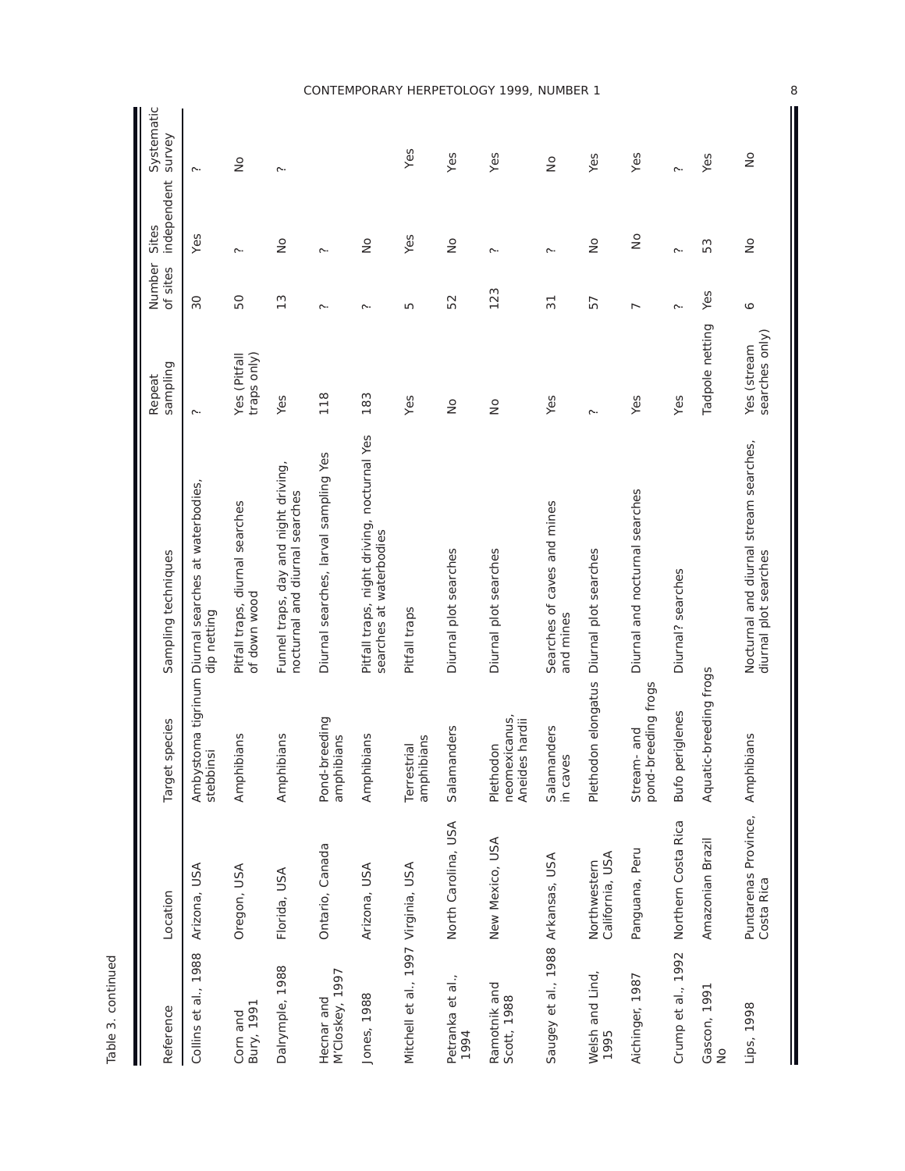| Reference                           | Location                           | species<br>Target                               | Sampling techniques                                                    | sampling<br>Repeat                 | Number<br>of sites | independent<br>Sites | Systematic<br>survey |
|-------------------------------------|------------------------------------|-------------------------------------------------|------------------------------------------------------------------------|------------------------------------|--------------------|----------------------|----------------------|
| Collins et al., 1988                | Arizona, USA                       | stebbinsi                                       | Ambystoma tigrinum Diurnal searches at waterbodies,<br>dip netting     | ς.                                 | 30                 | Yes                  | ς.                   |
| Corn and<br>Bury, 1991              | Oregon, USA                        | Amphibians                                      | Pitfall traps, diurnal searches<br>of down wood                        | <b>Yes</b> (Pitfall<br>traps only) | 50                 | ς.                   | $\frac{1}{2}$        |
| Dalrymple, 1988                     | Florida, USA                       | Amphibians                                      | Funnel traps, day and night driving,<br>nocturnal and diurnal searches | Yes                                | $\frac{3}{2}$      | $\frac{1}{2}$        | $\sim$               |
| M'Closkey, 1997<br>Hecnar and       | Ontario, Canada                    | Pond-breeding<br>amphibians                     | Diurnal searches, larval sampling Yes                                  | 118                                | ς.                 | ς.                   |                      |
| Jones, 1988                         | Arizona, USA                       | Amphibians                                      | Pitfall traps, night driving, nocturnal Yes<br>searches at waterbodies | 183                                | ς.                 | $\frac{1}{2}$        |                      |
| Mitchell et al., 1997 Virginia, USA |                                    | amphibians<br>Terrestrial                       | Pitfall traps                                                          | Yes                                | Б                  | Yes                  | Yes                  |
| Petranka et al.,<br>1994            | North Carolina, USA                | anders<br>Salama                                | Diurnal plot searches                                                  | $\frac{1}{2}$                      | 52                 | $\frac{1}{2}$        | Yes                  |
| Ramotnik and<br>Scott, 1988         | New Mexico, USA                    | neomexicanus<br>s hardii<br>Plethodon<br>Aneide | Diurnal plot searches                                                  | $\frac{1}{2}$                      | 123                | ς.                   | Yes                  |
| Saugey et al., 1988 Arkansas, USA   |                                    | Salamanders<br>in caves                         | Searches of caves and mines<br>and mines                               | Yes                                | $\overline{3}$     | ς.                   | $\frac{1}{2}$        |
| Welsh and Lind,<br>1995             | California, USA<br>Northwestern    | Plethodon elongatus                             | Diurnal plot searches                                                  | <b>C.</b>                          | 57                 | $\frac{1}{2}$        | Yes                  |
| Aichinger, 1987                     | Panguana, Peru                     | pond-breeding frogs<br>Stream-and               | Diurnal and nocturnal searches                                         | Yes                                | $\overline{ }$     | $\frac{1}{2}$        | Yes                  |
| Crump et al., 1992                  | Northern Costa Rica                | Bufo periglenes                                 | Diurnal? searches                                                      | Yes                                | ς.                 | $\sim$               | $\sim$               |
| Gascon, 1991<br>$\frac{1}{2}$       | Amazonian Brazil                   | Aquatic-breeding frogs                          |                                                                        | Tadpole netting                    | Yes                | 53                   | Yes                  |
| Lips, 1998                          | Puntarenas Province,<br>Costa Rica | Amphibians                                      | Nocturnal and diurnal stream searches,<br>diurnal plot searches        | searches only)<br>Yes (stream      | P                  | $\frac{1}{2}$        | $\frac{1}{2}$        |

Table 3. continued Table 3. continued

# *CONTEMPORARY HERPETOLOGY 1999, NUMBER 1*

8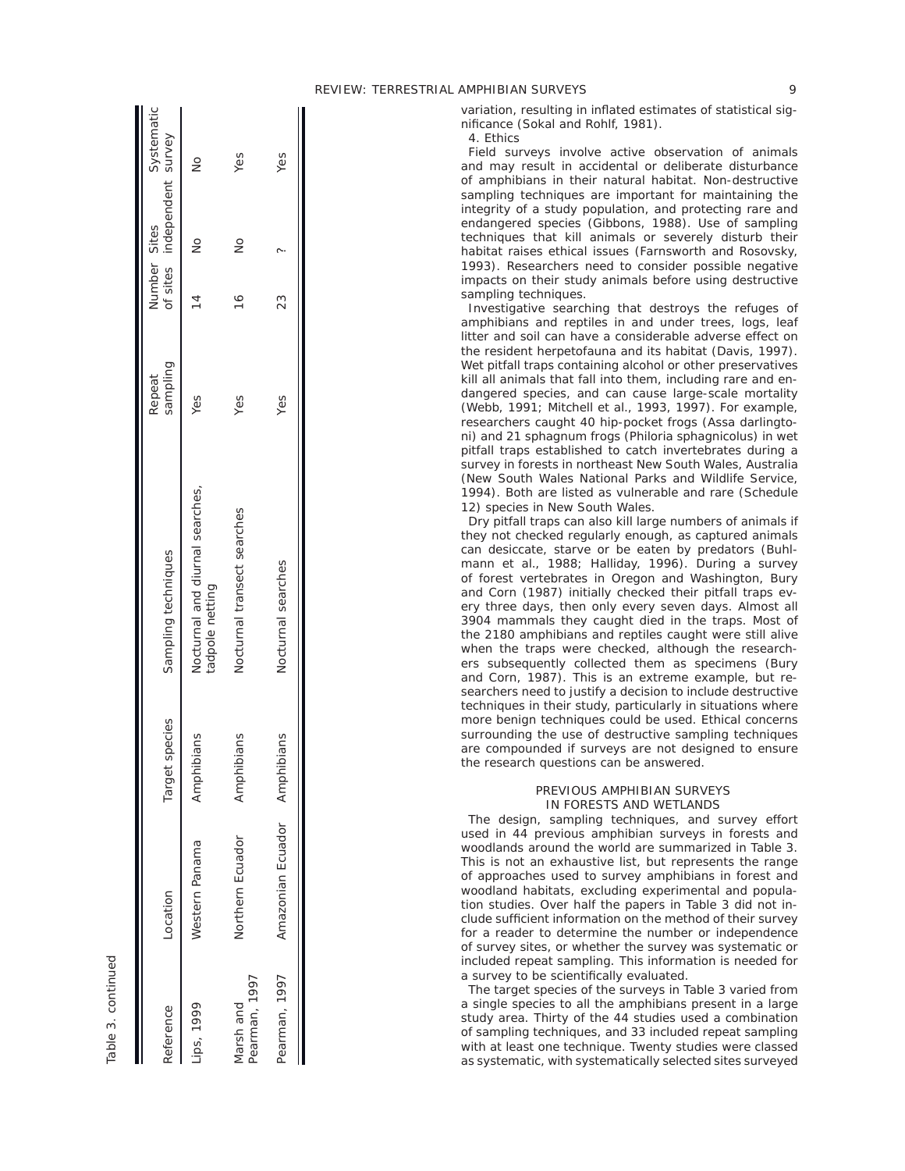variation, resulting in inflated estimates of statistical significance (Sokal and Rohlf, 1981).

*4. Ethics* 

Field surveys involve active observation of animals and may result in accidental or deliberate disturbance of amphibians in their natural habitat. Non-destructive sampling techniques are important for maintaining the integrity of a study population, and protecting rare and endangered species (Gibbons, 1988). Use of sampling techniques that kill animals or severely disturb their habitat raises ethical issues (Farnsworth and Rosovsky, 1993). Researchers need to consider possible negative impacts on their study animals before using destructive sampling techniques.

Investigative searching that destroys the refuges of amphibians and reptiles in and under trees, logs, leaf litter and soil can have a considerable adverse effect on the resident herpetofauna and its habitat (Davis, 1997). Wet pitfall traps containing alcohol or other preservatives kill all animals that fall into them, including rare and endangered species, and can cause large-scale mortality (Webb, 1991; Mitchell et al., 1993, 1997). For example, researchers caught 40 hip-pocket frogs (Assa darlingtoni) and 21 sphagnum frogs (Philoria sphagnicolus) in wet pitfall traps established to catch invertebrates during a survey in forests in northeast New South Wales, Australia (New South Wales National Parks and Wildlife Service, 1994). Both are listed as vulnerable and rare (Schedule 12) species in New South Wales.

Dry pitfall traps can also kill large numbers of animals if they not checked regularly enough, as captured animals can desiccate, starve or be eaten by predators (Buhlmann et al., 1988; Halliday, 1996). During a survey of forest vertebrates in Oregon and Washington, Bury and Corn (1987) initially checked their pitfall traps every three days, then only every seven days. Almost all 3904 mammals they caught died in the traps. Most of the 2180 amphibians and reptiles caught were still alive when the traps were checked, although the researchers subsequently collected them as specimens (Bury and Corn, 1987). This is an extreme example, but researchers need to justify a decision to include destructive techniques in their study, particularly in situations where more benign techniques could be used. Ethical concerns surrounding the use of destructive sampling techniques are compounded if surveys are not designed to ensure the research questions can be answered.

## PREVIOUS AMPHIBIAN SURVEYS IN FORESTS AND WETLANDS

The design, sampling techniques, and survey effort used in 44 previous amphibian surveys in forests and woodlands around the world are summarized in Table 3. This is not an exhaustive list, but represents the range of approaches used to survey amphibians in forest and woodland habitats, excluding experimental and population studies. Over half the papers in Table 3 did not include sufficient information on the method of their survey for a reader to determine the number or independence of survey sites, or whether the survey was systematic or included repeat sampling. This information is needed for a survey to be scientifically evaluated.

The target species of the surveys in Table 3 varied from a single species to all the amphibians present in a large study area. Thirty of the 44 studies used a combination of sampling techniques, and 33 included repeat sampling with at least one technique. Twenty studies were classed as systematic, with systematically selected sites surveyed

| Reference                  | Location                     | species<br>Target | Sampling techniques                                | sampling<br>Repeat | Number Sites | of sites independent survey | Systematic    |
|----------------------------|------------------------------|-------------------|----------------------------------------------------|--------------------|--------------|-----------------------------|---------------|
| Lips, 1999                 | Western Panama               | Amphibians        | Nocturnal and diurnal searches,<br>tadpole netting | Yes                | 14           | $\frac{1}{2}$               | $\frac{1}{2}$ |
| Pearman, 1997<br>Varsh and | Northern Ecuador             | ibians<br>Amphi   | Nocturnal transect searches                        | Yes                | 16           | $\frac{1}{2}$               | Yes           |
| Pearman, 1997              | Amazonian Ecuador Amphibians |                   | Nocturnal searches                                 | Yes                | 23           |                             | Yes           |

Table 3. continued Table 3. continued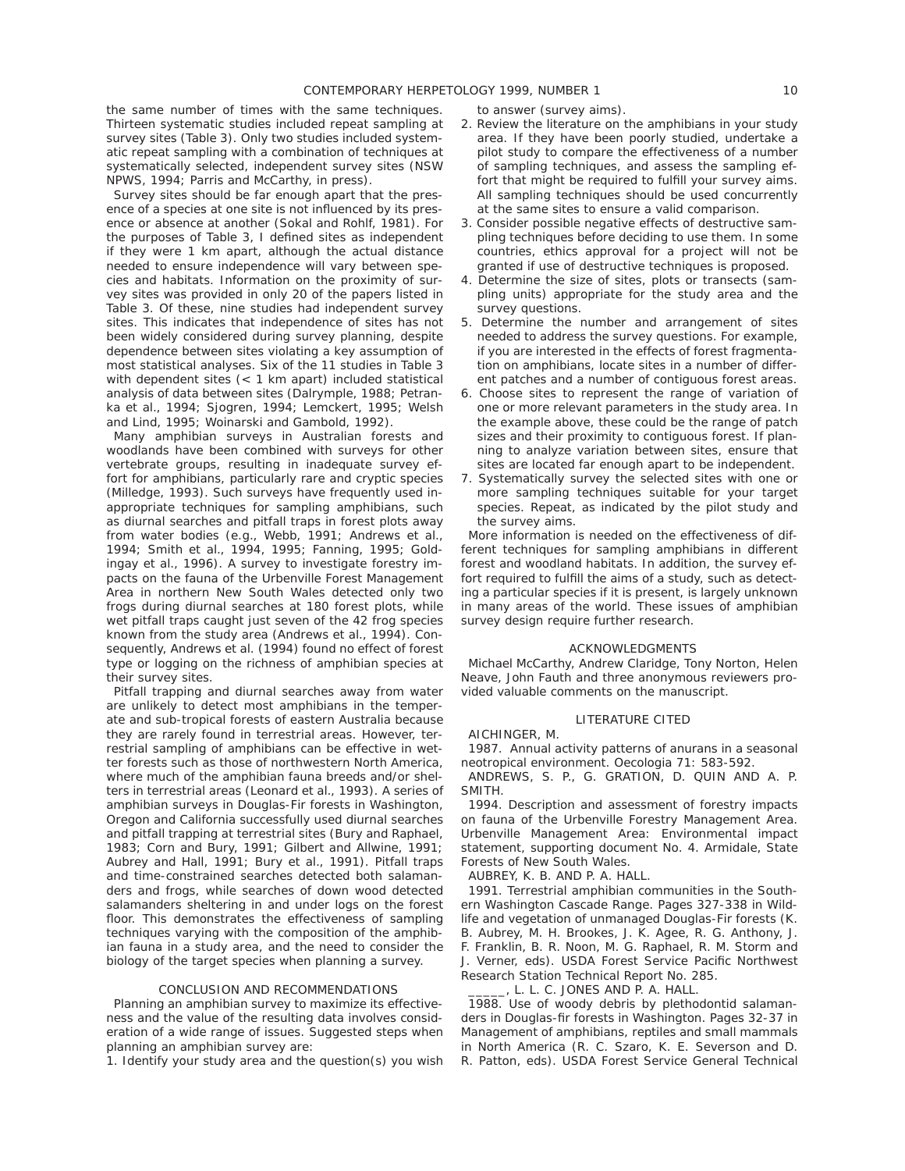the same number of times with the same techniques. Thirteen systematic studies included repeat sampling at survey sites (Table 3). Only two studies included systematic repeat sampling with a combination of techniques at systematically selected, independent survey sites (NSW NPWS, 1994; Parris and McCarthy, in press).

Survey sites should be far enough apart that the presence of a species at one site is not influenced by its presence or absence at another (Sokal and Rohlf, 1981). For the purposes of Table 3, I defined sites as independent if they were 1 km apart, although the actual distance needed to ensure independence will vary between species and habitats. Information on the proximity of survey sites was provided in only 20 of the papers listed in Table 3. Of these, nine studies had independent survey sites. This indicates that independence of sites has not been widely considered during survey planning, despite dependence between sites violating a key assumption of most statistical analyses. Six of the 11 studies in Table 3 with dependent sites (< 1 km apart) included statistical analysis of data between sites (Dalrymple, 1988; Petranka et al., 1994; Sjogren, 1994; Lemckert, 1995; Welsh and Lind, 1995; Woinarski and Gambold, 1992).

Many amphibian surveys in Australian forests and woodlands have been combined with surveys for other vertebrate groups, resulting in inadequate survey effort for amphibians, particularly rare and cryptic species (Milledge, 1993). Such surveys have frequently used inappropriate techniques for sampling amphibians, such as diurnal searches and pitfall traps in forest plots away from water bodies (e.g., Webb, 1991; Andrews et al., 1994; Smith et al., 1994, 1995; Fanning, 1995; Goldingay et al., 1996). A survey to investigate forestry impacts on the fauna of the Urbenville Forest Management Area in northern New South Wales detected only two frogs during diurnal searches at 180 forest plots, while wet pitfall traps caught just seven of the 42 frog species known from the study area (Andrews et al., 1994). Consequently, Andrews et al. (1994) found no effect of forest type or logging on the richness of amphibian species at their survey sites.

Pitfall trapping and diurnal searches away from water are unlikely to detect most amphibians in the temperate and sub-tropical forests of eastern Australia because they are rarely found in terrestrial areas. However, terrestrial sampling of amphibians can be effective in wetter forests such as those of northwestern North America, where much of the amphibian fauna breeds and/or shelters in terrestrial areas (Leonard et al., 1993). A series of amphibian surveys in Douglas-Fir forests in Washington, Oregon and California successfully used diurnal searches and pitfall trapping at terrestrial sites (Bury and Raphael, 1983; Corn and Bury, 1991; Gilbert and Allwine, 1991; Aubrey and Hall, 1991; Bury et al., 1991). Pitfall traps and time-constrained searches detected both salamanders and frogs, while searches of down wood detected salamanders sheltering in and under logs on the forest floor. This demonstrates the effectiveness of sampling techniques varying with the composition of the amphibian fauna in a study area, and the need to consider the biology of the target species when planning a survey.

#### CONCLUSION AND RECOMMENDATIONS

Planning an amphibian survey to maximize its effectiveness and the value of the resulting data involves consideration of a wide range of issues. Suggested steps when planning an amphibian survey are:

1. Identify your study area and the question(s) you wish

to answer (survey aims).

- 2. Review the literature on the amphibians in your study area. If they have been poorly studied, undertake a pilot study to compare the effectiveness of a number of sampling techniques, and assess the sampling effort that might be required to fulfill your survey aims. All sampling techniques should be used concurrently at the same sites to ensure a valid comparison.
- 3. Consider possible negative effects of destructive sampling techniques before deciding to use them. In some countries, ethics approval for a project will not be granted if use of destructive techniques is proposed.
- 4. Determine the size of sites, plots or transects (sampling units) appropriate for the study area and the survey questions.
- 5. Determine the number and arrangement of sites needed to address the survey questions. For example, if you are interested in the effects of forest fragmentation on amphibians, locate sites in a number of different patches and a number of contiguous forest areas.
- 6. Choose sites to represent the range of variation of one or more relevant parameters in the study area. In the example above, these could be the range of patch sizes and their proximity to contiguous forest. If planning to analyze variation between sites, ensure that sites are located far enough apart to be independent.
- 7. Systematically survey the selected sites with one or more sampling techniques suitable for your target species. Repeat, as indicated by the pilot study and the survey aims.

More information is needed on the effectiveness of different techniques for sampling amphibians in different forest and woodland habitats. In addition, the survey effort required to fulfill the aims of a study, such as detecting a particular species if it is present, is largely unknown in many areas of the world. These issues of amphibian survey design require further research.

# ACKNOWLEDGMENTS

Michael McCarthy, Andrew Claridge, Tony Norton, Helen Neave, John Fauth and three anonymous reviewers provided valuable comments on the manuscript.

#### LITERATURE CITED

AICHINGER, M.

1987. Annual activity patterns of anurans in a seasonal neotropical environment. Oecologia 71: 583-592.

ANDREWS, S. P., G. GRATION, D. QUIN AND A. P. SMITH.

1994. Description and assessment of forestry impacts on fauna of the Urbenville Forestry Management Area. Urbenville Management Area: Environmental impact statement, supporting document No. 4. Armidale, State Forests of New South Wales.

AUBREY, K. B. AND P. A. HALL.

1991. Terrestrial amphibian communities in the Southern Washington Cascade Range. Pages 327-338 in Wildlife and vegetation of unmanaged Douglas-Fir forests (K. B. Aubrey, M. H. Brookes, J. K. Agee, R. G. Anthony, J. F. Franklin, B. R. Noon, M. G. Raphael, R. M. Storm and J. Verner, eds). USDA Forest Service Pacific Northwest Research Station Technical Report No. 285.

L. L. C. JONES AND P. A. HALL.

1988. Use of woody debris by plethodontid salamanders in Douglas-fir forests in Washington. Pages 32-37 in Management of amphibians, reptiles and small mammals in North America (R. C. Szaro, K. E. Severson and D. R. Patton, eds). USDA Forest Service General Technical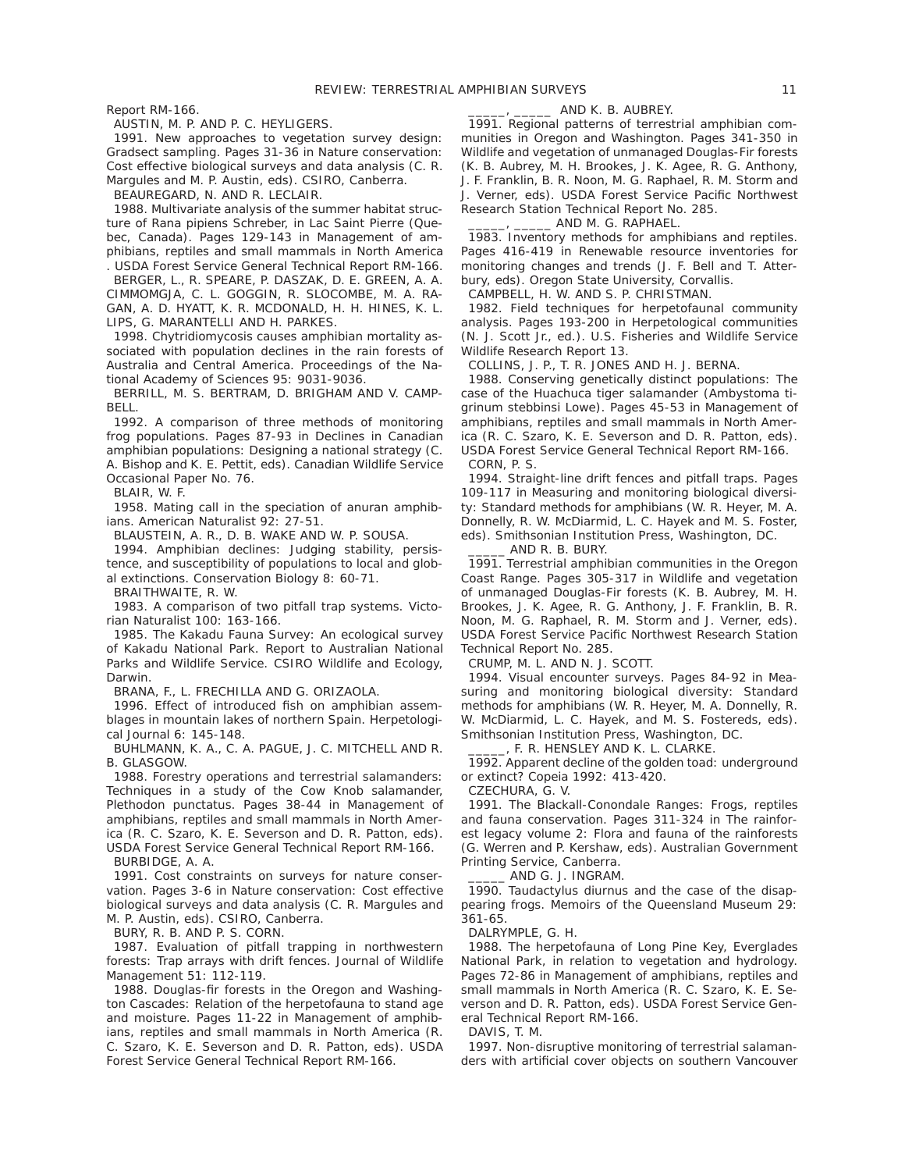Report RM-166.

AUSTIN, M. P. AND P. C. HEYLIGERS.

1991. New approaches to vegetation survey design: Gradsect sampling. Pages 31-36 in Nature conservation: Cost effective biological surveys and data analysis (C. R. Margules and M. P. Austin, eds). CSIRO, Canberra.

BEAUREGARD, N. AND R. LECLAIR.

1988. Multivariate analysis of the summer habitat structure of Rana pipiens Schreber, in Lac Saint Pierre (Quebec, Canada). Pages 129-143 in Management of amphibians, reptiles and small mammals in North America . USDA Forest Service General Technical Report RM-166.

BERGER, L., R. SPEARE, P. DASZAK, D. E. GREEN, A. A. CIMMOMGJA, C. L. GOGGIN, R. SLOCOMBE, M. A. RA-GAN, A. D. HYATT, K. R. MCDONALD, H. H. HINES, K. L. LIPS, G. MARANTELLI AND H. PARKES.

1998. Chytridiomycosis causes amphibian mortality associated with population declines in the rain forests of Australia and Central America. Proceedings of the National Academy of Sciences 95: 9031-9036.

BERRILL, M. S. BERTRAM, D. BRIGHAM AND V. CAMP-BELL.

1992. A comparison of three methods of monitoring frog populations. Pages 87-93 in Declines in Canadian amphibian populations: Designing a national strategy (C. A. Bishop and K. E. Pettit, eds). Canadian Wildlife Service Occasional Paper No. 76.

BLAIR, W. F.

1958. Mating call in the speciation of anuran amphibians. American Naturalist 92: 27-51.

BLAUSTEIN, A. R., D. B. WAKE AND W. P. SOUSA.

1994. Amphibian declines: Judging stability, persistence, and susceptibility of populations to local and global extinctions. Conservation Biology 8: 60-71.

BRAITHWAITE, R. W.

1983. A comparison of two pitfall trap systems. Victorian Naturalist 100: 163-166.

1985. The Kakadu Fauna Survey: An ecological survey of Kakadu National Park. Report to Australian National Parks and Wildlife Service. CSIRO Wildlife and Ecology, Darwin.

BRANA, F., L. FRECHILLA AND G. ORIZAOLA.

1996. Effect of introduced fish on amphibian assemblages in mountain lakes of northern Spain. Herpetological Journal 6: 145-148.

BUHLMANN, K. A., C. A. PAGUE, J. C. MITCHELL AND R. B. GLASGOW.

1988. Forestry operations and terrestrial salamanders: Techniques in a study of the Cow Knob salamander, Plethodon punctatus. Pages 38-44 in Management of amphibians, reptiles and small mammals in North America (R. C. Szaro, K. E. Severson and D. R. Patton, eds). USDA Forest Service General Technical Report RM-166.

BURBIDGE, A. A.

1991. Cost constraints on surveys for nature conservation. Pages 3-6 in Nature conservation: Cost effective biological surveys and data analysis (C. R. Margules and M. P. Austin, eds). CSIRO, Canberra.

BURY, R. B. AND P. S. CORN.

1987. Evaluation of pitfall trapping in northwestern forests: Trap arrays with drift fences. Journal of Wildlife Management 51: 112-119.

1988. Douglas-fir forests in the Oregon and Washington Cascades: Relation of the herpetofauna to stand age and moisture. Pages 11-22 in Management of amphibians, reptiles and small mammals in North America (R. C. Szaro, K. E. Severson and D. R. Patton, eds). USDA Forest Service General Technical Report RM-166.

#### \_\_\_\_\_, \_\_\_\_\_ AND K. B. AUBREY.

1991. Regional patterns of terrestrial amphibian communities in Oregon and Washington. Pages 341-350 in Wildlife and vegetation of unmanaged Douglas-Fir forests (K. B. Aubrey, M. H. Brookes, J. K. Agee, R. G. Anthony, J. F. Franklin, B. R. Noon, M. G. Raphael, R. M. Storm and J. Verner, eds). USDA Forest Service Pacific Northwest Research Station Technical Report No. 285.

### AND M. G. RAPHAEL.

1983. Inventory methods for amphibians and reptiles. Pages 416-419 in Renewable resource inventories for monitoring changes and trends (J. F. Bell and T. Atterbury, eds). Oregon State University, Corvallis.

CAMPBELL, H. W. AND S. P. CHRISTMAN.

1982. Field techniques for herpetofaunal community analysis. Pages 193-200 in Herpetological communities (N. J. Scott Jr., ed.). U.S. Fisheries and Wildlife Service Wildlife Research Report 13.

COLLINS, J. P., T. R. JONES AND H. J. BERNA.

1988. Conserving genetically distinct populations: The case of the Huachuca tiger salamander (Ambystoma tigrinum stebbinsi Lowe). Pages 45-53 in Management of amphibians, reptiles and small mammals in North America (R. C. Szaro, K. E. Severson and D. R. Patton, eds). USDA Forest Service General Technical Report RM-166. CORN, P. S.

1994. Straight-line drift fences and pitfall traps. Pages 109-117 in Measuring and monitoring biological diversity: Standard methods for amphibians (W. R. Heyer, M. A. Donnelly, R. W. McDiarmid, L. C. Hayek and M. S. Foster, eds). Smithsonian Institution Press, Washington, DC.

AND R. B. BURY.

1991. Terrestrial amphibian communities in the Oregon Coast Range. Pages 305-317 in Wildlife and vegetation of unmanaged Douglas-Fir forests (K. B. Aubrey, M. H. Brookes, J. K. Agee, R. G. Anthony, J. F. Franklin, B. R. Noon, M. G. Raphael, R. M. Storm and J. Verner, eds). USDA Forest Service Pacific Northwest Research Station Technical Report No. 285.

CRUMP, M. L. AND N. J. SCOTT.

1994. Visual encounter surveys. Pages 84-92 in Measuring and monitoring biological diversity: Standard methods for amphibians (W. R. Heyer, M. A. Donnelly, R. W. McDiarmid, L. C. Hayek, and M. S. Fostereds, eds). Smithsonian Institution Press, Washington, DC.

\_\_\_\_\_, F. R. HENSLEY AND K. L. CLARKE.

1992. Apparent decline of the golden toad: underground or extinct? Copeia 1992: 413-420.

CZECHURA, G. V.

1991. The Blackall-Conondale Ranges: Frogs, reptiles and fauna conservation. Pages 311-324 in The rainforest legacy volume 2: Flora and fauna of the rainforests (G. Werren and P. Kershaw, eds). Australian Government Printing Service, Canberra.

AND G. J. INGRAM.

1990. Taudactylus diurnus and the case of the disappearing frogs. Memoirs of the Queensland Museum 29: 361-65.

DALRYMPLE, G. H.

1988. The herpetofauna of Long Pine Key, Everglades National Park, in relation to vegetation and hydrology. Pages 72-86 in Management of amphibians, reptiles and small mammals in North America (R. C. Szaro, K. E. Severson and D. R. Patton, eds). USDA Forest Service General Technical Report RM-166.

DAVIS, T. M.

1997. Non-disruptive monitoring of terrestrial salamanders with artificial cover objects on southern Vancouver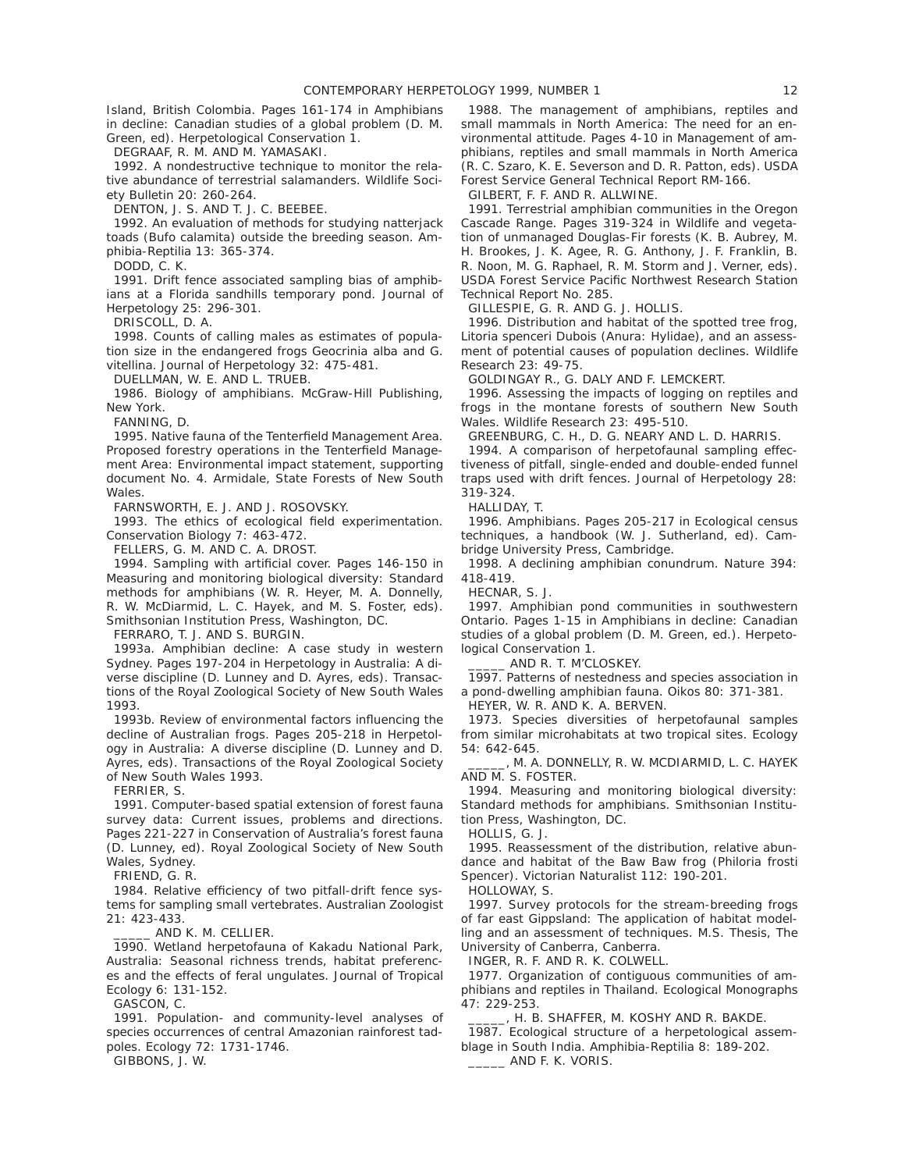Island, British Colombia. Pages 161-174 in Amphibians in decline: Canadian studies of a global problem (D. M. Green, ed). Herpetological Conservation 1.

DEGRAAF, R. M. AND M. YAMASAKI.

1992. A nondestructive technique to monitor the relative abundance of terrestrial salamanders. Wildlife Society Bulletin 20: 260-264.

DENTON, J. S. AND T. J. C. BEEBEE.

1992. An evaluation of methods for studying natterjack toads (Bufo calamita) outside the breeding season. Amphibia-Reptilia 13: 365-374.

DODD, C. K.

1991. Drift fence associated sampling bias of amphibians at a Florida sandhills temporary pond. Journal of Herpetology 25: 296-301.

DRISCOLL, D. A.

1998. Counts of calling males as estimates of population size in the endangered frogs Geocrinia alba and G. vitellina. Journal of Herpetology 32: 475-481.

DUELLMAN, W. E. AND L. TRUEB.

1986. Biology of amphibians. McGraw-Hill Publishing, New York.

FANNING, D.

1995. Native fauna of the Tenterfield Management Area. Proposed forestry operations in the Tenterfield Management Area: Environmental impact statement, supporting document No. 4. Armidale, State Forests of New South Wales.

FARNSWORTH, E. J. AND J. ROSOVSKY.

1993. The ethics of ecological field experimentation. Conservation Biology 7: 463-472.

FELLERS, G. M. AND C. A. DROST.

1994. Sampling with artificial cover. Pages 146-150 in Measuring and monitoring biological diversity: Standard methods for amphibians (W. R. Heyer, M. A. Donnelly, R. W. McDiarmid, L. C. Hayek, and M. S. Foster, eds). Smithsonian Institution Press, Washington, DC.

FERRARO, T. J. AND S. BURGIN.

1993a. Amphibian decline: A case study in western Sydney. Pages 197-204 in Herpetology in Australia: A diverse discipline (D. Lunney and D. Ayres, eds). Transactions of the Royal Zoological Society of New South Wales 1993.

1993b. Review of environmental factors influencing the decline of Australian frogs. Pages 205-218 in Herpetology in Australia: A diverse discipline (D. Lunney and D. Ayres, eds). Transactions of the Royal Zoological Society of New South Wales 1993.

FERRIER, S.

1991. Computer-based spatial extension of forest fauna survey data: Current issues, problems and directions. Pages 221-227 in Conservation of Australia's forest fauna (D. Lunney, ed). Royal Zoological Society of New South Wales, Sydney.

FRIEND, G. R.

1984. Relative efficiency of two pitfall-drift fence systems for sampling small vertebrates. Australian Zoologist 21: 423-433.

AND K. M. CELLIER.

1990. Wetland herpetofauna of Kakadu National Park, Australia: Seasonal richness trends, habitat preferences and the effects of feral ungulates. Journal of Tropical Ecology 6: 131-152.

GASCON, C.

1991. Population- and community-level analyses of species occurrences of central Amazonian rainforest tadpoles. Ecology 72: 1731-1746.

GIBBONS, J. W.

1988. The management of amphibians, reptiles and small mammals in North America: The need for an environmental attitude. Pages 4-10 in Management of amphibians, reptiles and small mammals in North America (R. C. Szaro, K. E. Severson and D. R. Patton, eds). USDA Forest Service General Technical Report RM-166.

GILBERT, F. F. AND R. ALLWINE.

1991. Terrestrial amphibian communities in the Oregon Cascade Range. Pages 319-324 in Wildlife and vegetation of unmanaged Douglas-Fir forests (K. B. Aubrey, M. H. Brookes, J. K. Agee, R. G. Anthony, J. F. Franklin, B. R. Noon, M. G. Raphael, R. M. Storm and J. Verner, eds). USDA Forest Service Pacific Northwest Research Station Technical Report No. 285.

GILLESPIE, G. R. AND G. J. HOLLIS.

1996. Distribution and habitat of the spotted tree frog, Litoria spenceri Dubois (Anura: Hylidae), and an assessment of potential causes of population declines. Wildlife Research 23: 49-75.

GOLDINGAY R., G. DALY AND F. LEMCKERT.

1996. Assessing the impacts of logging on reptiles and frogs in the montane forests of southern New South Wales. Wildlife Research 23: 495-510.

GREENBURG, C. H., D. G. NEARY AND L. D. HARRIS.

1994. A comparison of herpetofaunal sampling effectiveness of pitfall, single-ended and double-ended funnel traps used with drift fences. Journal of Herpetology 28: 319-324.

HALLIDAY, T.

1996. Amphibians. Pages 205-217 in Ecological census techniques, a handbook (W. J. Sutherland, ed). Cambridge University Press, Cambridge.

1998. A declining amphibian conundrum. Nature 394: 418-419.

HECNAR, S. J.

1997. Amphibian pond communities in southwestern Ontario. Pages 1-15 in Amphibians in decline: Canadian studies of a global problem (D. M. Green, ed.). Herpetological Conservation 1.

AND R. T. M'CLOSKEY.

1997. Patterns of nestedness and species association in a pond-dwelling amphibian fauna. Oikos 80: 371-381.

HEYER, W. R. AND K. A. BERVEN.

1973. Species diversities of herpetofaunal samples from similar microhabitats at two tropical sites. Ecology 54: 642-645.

\_\_\_\_\_, M. A. DONNELLY, R. W. MCDIARMID, L. C. HAYEK AND M. S. FOSTER.

1994. Measuring and monitoring biological diversity: Standard methods for amphibians. Smithsonian Institution Press, Washington, DC.

HOLLIS, G. J.

1995. Reassessment of the distribution, relative abundance and habitat of the Baw Baw frog (Philoria frosti Spencer). Victorian Naturalist 112: 190-201.

HOLLOWAY, S.

1997. Survey protocols for the stream-breeding frogs of far east Gippsland: The application of habitat modelling and an assessment of techniques. M.S. Thesis, The University of Canberra, Canberra.

INGER, R. F. AND R. K. COLWELL.

1977. Organization of contiguous communities of amphibians and reptiles in Thailand. Ecological Monographs 47: 229-253.

\_\_\_\_\_, H. B. SHAFFER, M. KOSHY AND R. BAKDE.

1987. Ecological structure of a herpetological assemblage in South India. Amphibia-Reptilia 8: 189-202. \_\_\_\_\_ AND F. K. VORIS.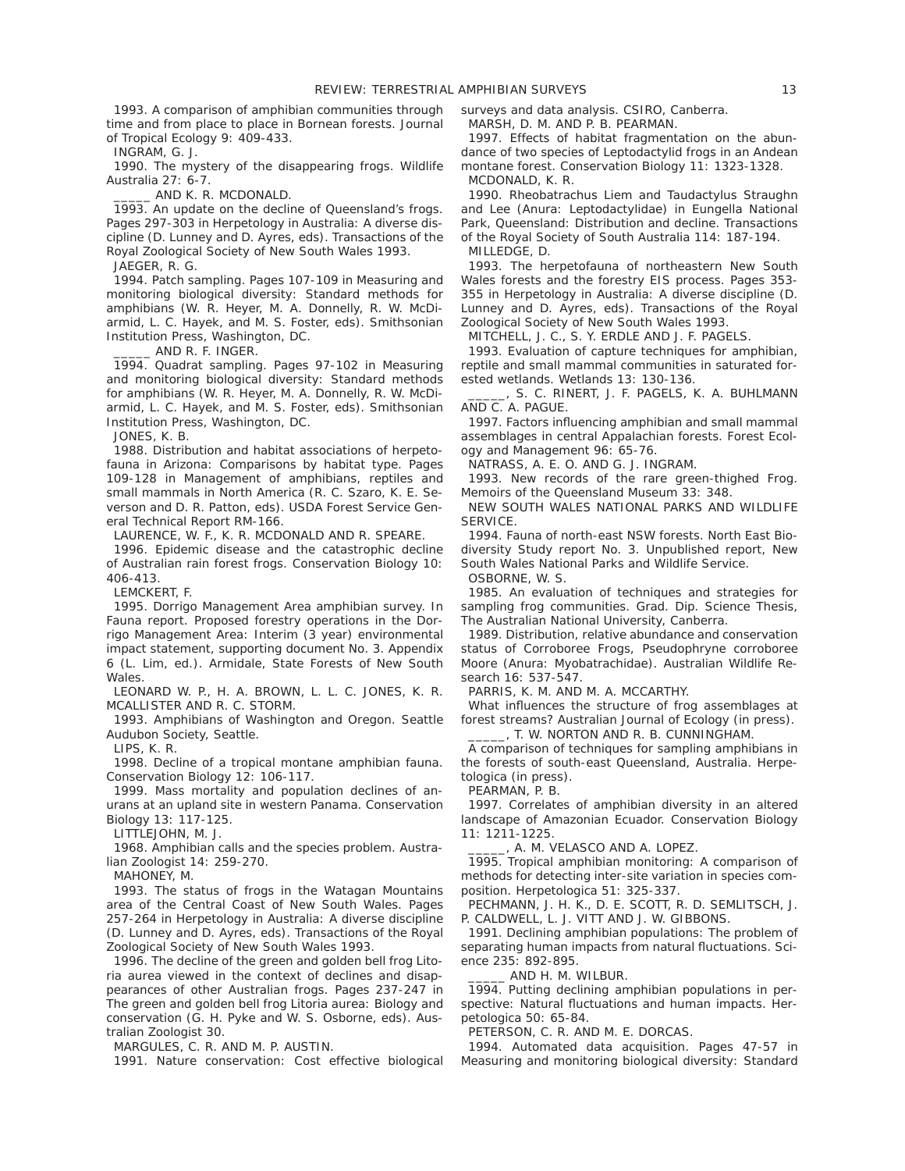1993. A comparison of amphibian communities through time and from place to place in Bornean forests. Journal of Tropical Ecology 9: 409-433.

INGRAM, G. J.

1990. The mystery of the disappearing frogs. Wildlife Australia 27: 6-7.

AND K. R. MCDONALD.

1993. An update on the decline of Queensland's frogs. Pages 297-303 in Herpetology in Australia: A diverse discipline (D. Lunney and D. Ayres, eds). Transactions of the Royal Zoological Society of New South Wales 1993.

JAEGER, R. G.

1994. Patch sampling. Pages 107-109 in Measuring and monitoring biological diversity: Standard methods for amphibians (W. R. Heyer, M. A. Donnelly, R. W. McDiarmid, L. C. Hayek, and M. S. Foster, eds). Smithsonian Institution Press, Washington, DC.

\_\_\_\_\_ AND R. F. INGER.

1994. Quadrat sampling. Pages 97-102 in Measuring and monitoring biological diversity: Standard methods for amphibians (W. R. Heyer, M. A. Donnelly, R. W. McDiarmid, L. C. Hayek, and M. S. Foster, eds). Smithsonian Institution Press, Washington, DC.

JONES, K. B.

1988. Distribution and habitat associations of herpetofauna in Arizona: Comparisons by habitat type. Pages 109-128 in Management of amphibians, reptiles and small mammals in North America (R. C. Szaro, K. E. Severson and D. R. Patton, eds). USDA Forest Service General Technical Report RM-166.

LAURENCE, W. F., K. R. MCDONALD AND R. SPEARE.

1996. Epidemic disease and the catastrophic decline of Australian rain forest frogs. Conservation Biology 10: 406-413.

LEMCKERT, F.

1995. Dorrigo Management Area amphibian survey. In Fauna report. Proposed forestry operations in the Dorrigo Management Area: Interim (3 year) environmental impact statement, supporting document No. 3. Appendix 6 (L. Lim, ed.). Armidale, State Forests of New South Wales.

LEONARD W. P., H. A. BROWN, L. L. C. JONES, K. R. MCALLISTER AND R. C. STORM.

1993. Amphibians of Washington and Oregon. Seattle Audubon Society, Seattle.

LIPS, K. R.

1998. Decline of a tropical montane amphibian fauna. Conservation Biology 12: 106-117.

1999. Mass mortality and population declines of anurans at an upland site in western Panama. Conservation Biology 13: 117-125.

LITTLEJOHN, M. J.

1968. Amphibian calls and the species problem. Australian Zoologist 14: 259-270.

MAHONEY, M.

1993. The status of frogs in the Watagan Mountains area of the Central Coast of New South Wales. Pages 257-264 in Herpetology in Australia: A diverse discipline (D. Lunney and D. Ayres, eds). Transactions of the Royal Zoological Society of New South Wales 1993.

1996. The decline of the green and golden bell frog Litoria aurea viewed in the context of declines and disappearances of other Australian frogs. Pages 237-247 in The green and golden bell frog Litoria aurea: Biology and conservation (G. H. Pyke and W. S. Osborne, eds). Australian Zoologist 30.

MARGULES, C. R. AND M. P. AUSTIN.

1991. Nature conservation: Cost effective biological

surveys and data analysis. CSIRO, Canberra.

MARSH, D. M. AND P. B. PEARMAN.

1997. Effects of habitat fragmentation on the abundance of two species of Leptodactylid frogs in an Andean montane forest. Conservation Biology 11: 1323-1328. MCDONALD, K. R.

1990. Rheobatrachus Liem and Taudactylus Straughn and Lee (Anura: Leptodactylidae) in Eungella National Park, Queensland: Distribution and decline. Transactions of the Royal Society of South Australia 114: 187-194. MILLEDGE, D.

1993. The herpetofauna of northeastern New South Wales forests and the forestry EIS process. Pages 353- 355 in Herpetology in Australia: A diverse discipline (D. Lunney and D. Ayres, eds). Transactions of the Royal Zoological Society of New South Wales 1993.

MITCHELL, J. C., S. Y. ERDLE AND J. F. PAGELS.

1993. Evaluation of capture techniques for amphibian, reptile and small mammal communities in saturated forested wetlands. Wetlands 13: 130-136.

\_\_\_\_\_, S. C. RINERT, J. F. PAGELS, K. A. BUHLMANN AND C. A. PAGUE.

1997. Factors influencing amphibian and small mammal assemblages in central Appalachian forests. Forest Ecology and Management 96: 65-76.

NATRASS, A. E. O. AND G. J. INGRAM.

1993. New records of the rare green-thighed Frog. Memoirs of the Queensland Museum 33: 348.

NEW SOUTH WALES NATIONAL PARKS AND WILDLIFE SERVICE.

1994. Fauna of north-east NSW forests. North East Biodiversity Study report No. 3. Unpublished report, New South Wales National Parks and Wildlife Service.

OSBORNE, W. S.

1985. An evaluation of techniques and strategies for sampling frog communities. Grad. Dip. Science Thesis, The Australian National University, Canberra.

1989. Distribution, relative abundance and conservation status of Corroboree Frogs, Pseudophryne corroboree Moore (Anura: Myobatrachidae). Australian Wildlife Research 16: 537-547.

PARRIS, K. M. AND M. A. MCCARTHY.

What influences the structure of frog assemblages at forest streams? Australian Journal of Ecology (in press).

\_\_\_\_\_, T. W. NORTON AND R. B. CUNNINGHAM.

A comparison of techniques for sampling amphibians in the forests of south-east Queensland, Australia. Herpetologica (in press).

PEARMAN, P. B.

1997. Correlates of amphibian diversity in an altered landscape of Amazonian Ecuador. Conservation Biology 11: 1211-1225.

A. M. VELASCO AND A. LOPEZ.

1995. Tropical amphibian monitoring: A comparison of methods for detecting inter-site variation in species composition. Herpetologica 51: 325-337.

PECHMANN, J. H. K., D. E. SCOTT, R. D. SEMLITSCH, J. P. CALDWELL, L. J. VITT AND J. W. GIBBONS.

1991. Declining amphibian populations: The problem of separating human impacts from natural fluctuations. Science 235: 892-895.

AND H. M. WILBUR.

1994. Putting declining amphibian populations in perspective: Natural fluctuations and human impacts. Herpetologica 50: 65-84.

PETERSON, C. R. AND M. E. DORCAS.

1994. Automated data acquisition. Pages 47-57 in Measuring and monitoring biological diversity: Standard